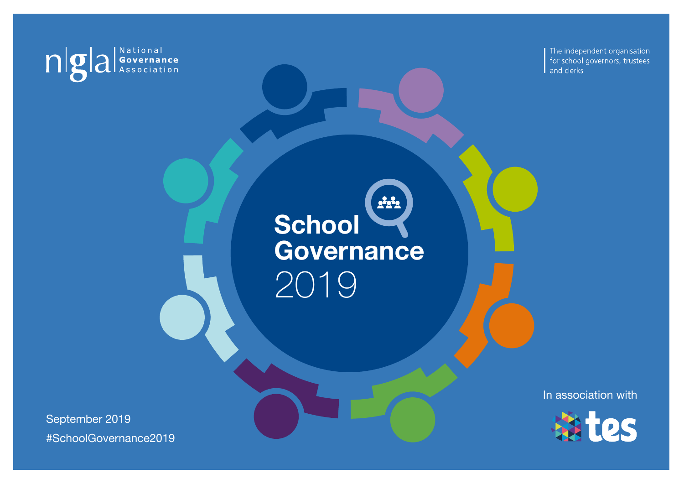

The independent organisation for school governors, trustees and clerks

 $222$ **School Governance** 2019

September 2019 #SchoolGovernance2019 In association with

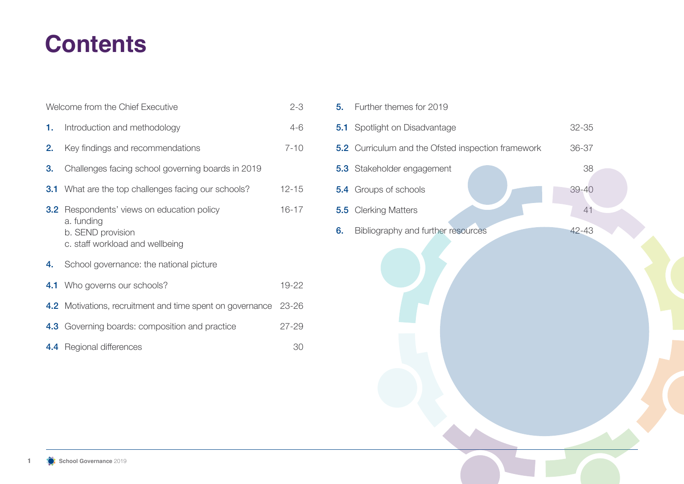## **Contents**

|      | Welcome from the Chief Executive                                                                                        | $2 - 3$   |  |
|------|-------------------------------------------------------------------------------------------------------------------------|-----------|--|
| 1. . | Introduction and methodology                                                                                            | $4 - 6$   |  |
| 2.   | Key findings and recommendations                                                                                        | $7 - 10$  |  |
| 3.   | Challenges facing school governing boards in 2019                                                                       |           |  |
|      | <b>3.1</b> What are the top challenges facing our schools?                                                              | $12 - 15$ |  |
|      | <b>3.2</b> Respondents' views on education policy<br>a. funding<br>b. SEND provision<br>c. staff workload and wellbeing | $16 - 17$ |  |
| 4.   | School governance: the national picture                                                                                 |           |  |
|      | <b>4.1</b> Who governs our schools?                                                                                     | 19-22     |  |
|      | <b>4.2</b> Motivations, recruitment and time spent on governance                                                        | 23-26     |  |
|      | 4.3 Governing boards: composition and practice                                                                          | $27 - 29$ |  |
|      | 4.4 Regional differences                                                                                                | 30        |  |

| 5. | Further themes for 2019                            |           |  |
|----|----------------------------------------------------|-----------|--|
|    | <b>5.1</b> Spotlight on Disadvantage               | 32-35     |  |
|    | 5.2 Curriculum and the Ofsted inspection framework | 36-37     |  |
|    | 5.3 Stakeholder engagement                         | 38        |  |
|    | 5.4 Groups of schools                              | $39 - 40$ |  |
|    | <b>5.5</b> Clerking Matters                        | 41        |  |
| 6. | Bibliography and further resources                 | 42-43     |  |
|    |                                                    |           |  |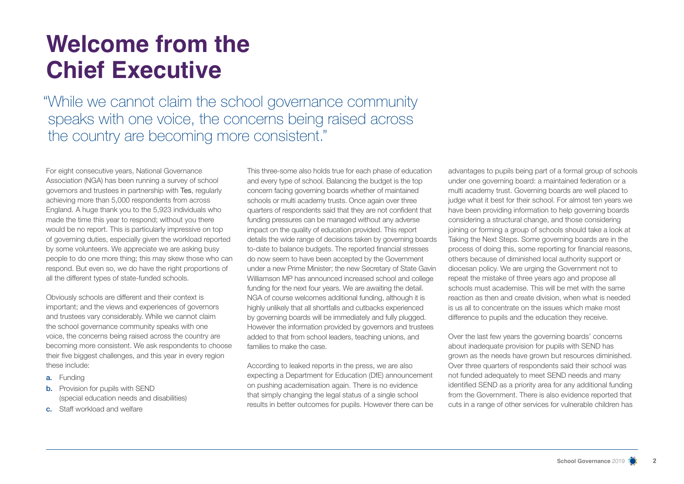## **Welcome from the Chief Executive**

"While we cannot claim the school governance community speaks with one voice, the concerns being raised across the country are becoming more consistent."

For eight consecutive years, National Governance Association (NGA) has been running a survey of school governors and trustees in partnership with Tes, regularly achieving more than 5,000 respondents from across England. A huge thank you to the 5,923 individuals who made the time this year to respond; without you there would be no report. This is particularly impressive on top of governing duties, especially given the workload reported by some volunteers. We appreciate we are asking busy people to do one more thing; this may skew those who can respond. But even so, we do have the right proportions of all the different types of state-funded schools.

Obviously schools are different and their context is important; and the views and experiences of governors and trustees vary considerably. While we cannot claim the school governance community speaks with one voice, the concerns being raised across the country are becoming more consistent. We ask respondents to choose their five biggest challenges, and this year in every region these include:

- a. Funding
- **b.** Provision for pupils with SEND (special education needs and disabilities)
- c. Staff workload and welfare

This three-some also holds true for each phase of education and every type of school. Balancing the budget is the top concern facing governing boards whether of maintained schools or multi academy trusts. Once again over three quarters of respondents said that they are not confident that funding pressures can be managed without any adverse impact on the quality of education provided. This report details the wide range of decisions taken by governing boards to-date to balance budgets. The reported financial stresses do now seem to have been accepted by the Government under a new Prime Minister; the new Secretary of State Gavin Williamson MP has announced increased school and college funding for the next four years. We are awaiting the detail. NGA of course welcomes additional funding, although it is highly unlikely that all shortfalls and cutbacks experienced by governing boards will be immediately and fully plugged. However the information provided by governors and trustees added to that from school leaders, teaching unions, and families to make the case.

According to leaked reports in the press, we are also expecting a Department for Education (DfE) announcement on pushing academisation again. There is no evidence that simply changing the legal status of a single school results in better outcomes for pupils. However there can be

advantages to pupils being part of a formal group of schools under one governing board: a maintained federation or a multi academy trust. Governing boards are well placed to judge what it best for their school. For almost ten years we have been providing information to help governing boards considering a structural change, and those considering joining or forming a group of schools should take a look at Taking the Next Steps. Some governing boards are in the process of doing this, some reporting for financial reasons, others because of diminished local authority support or diocesan policy. We are urging the Government not to repeat the mistake of three years ago and propose all schools must academise. This will be met with the same reaction as then and create division, when what is needed is us all to concentrate on the issues which make most difference to pupils and the education they receive.

Over the last few years the governing boards' concerns about inadequate provision for pupils with SEND has grown as the needs have grown but resources diminished. Over three quarters of respondents said their school was not funded adequately to meet SEND needs and many identified SEND as a priority area for any additional funding from the Government. There is also evidence reported that cuts in a range of other services for vulnerable children has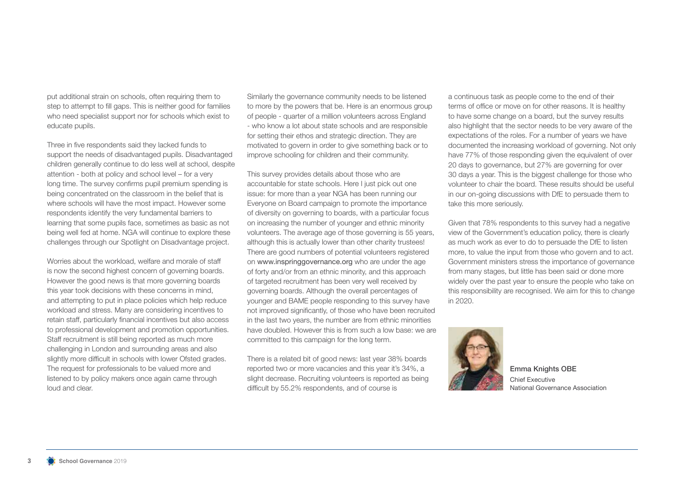put additional strain on schools, often requiring them to step to attempt to fill gaps. This is neither good for families who need specialist support nor for schools which exist to educate pupils.

Three in five respondents said they lacked funds to support the needs of disadvantaged pupils. Disadvantaged children generally continue to do less well at school, despite attention - both at policy and school level – for a very long time. The survey confirms pupil premium spending is being concentrated on the classroom in the belief that is where schools will have the most impact. However some respondents identify the very fundamental barriers to learning that some pupils face, sometimes as basic as not being well fed at home. NGA will continue to explore these challenges through our Spotlight on Disadvantage project.

Worries about the workload, welfare and morale of staff is now the second highest concern of governing boards. However the good news is that more governing boards this year took decisions with these concerns in mind, and attempting to put in place policies which help reduce workload and stress. Many are considering incentives to retain staff, particularly financial incentives but also access to professional development and promotion opportunities. Staff recruitment is still being reported as much more challenging in London and surrounding areas and also slightly more difficult in schools with lower Ofsted grades. The request for professionals to be valued more and listened to by policy makers once again came through loud and clear.

Similarly the governance community needs to be listened to more by the powers that be. Here is an enormous group of people - quarter of a million volunteers across England - who know a lot about state schools and are responsible for setting their ethos and strategic direction. They are motivated to govern in order to give something back or to improve schooling for children and their community.

This survey provides details about those who are accountable for state schools. Here I just pick out one issue: for more than a year NGA has been running our Everyone on Board campaign to promote the importance of diversity on governing to boards, with a particular focus on increasing the number of younger and ethnic minority volunteers. The average age of those governing is 55 years, although this is actually lower than other charity trustees! There are good numbers of potential volunteers registered on www.inspringgovernance.org who are under the age of forty and/or from an ethnic minority, and this approach of targeted recruitment has been very well received by governing boards. Although the overall percentages of younger and BAME people responding to this survey have not improved significantly, of those who have been recruited in the last two years, the number are from ethnic minorities have doubled. However this is from such a low base: we are committed to this campaign for the long term.

There is a related bit of good news: last year 38% boards reported two or more vacancies and this year it's 34%, a slight decrease. Recruiting volunteers is reported as being difficult by 55.2% respondents, and of course is

a continuous task as people come to the end of their terms of office or move on for other reasons. It is healthy to have some change on a board, but the survey results also highlight that the sector needs to be very aware of the expectations of the roles. For a number of years we have documented the increasing workload of governing. Not only have 77% of those responding given the equivalent of over 20 days to governance, but 27% are governing for over 30 days a year. This is the biggest challenge for those who volunteer to chair the board. These results should be useful in our on-going discussions with DfE to persuade them to take this more seriously.

Given that 78% respondents to this survey had a negative view of the Government's education policy, there is clearly as much work as ever to do to persuade the DfE to listen more, to value the input from those who govern and to act. Government ministers stress the importance of governance from many stages, but little has been said or done more widely over the past year to ensure the people who take on this responsibility are recognised. We aim for this to change in 2020.



Emma Knights OBE Chief Executive National Governance Association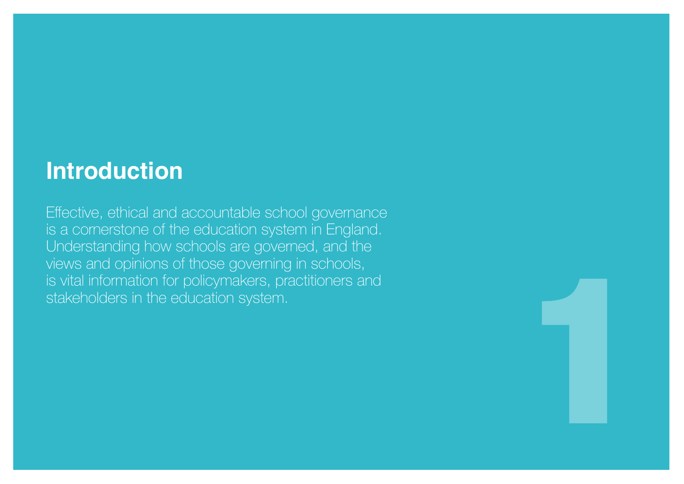## **Introduction**

Effective, ethical and accountable school governance is a cornerstone of the education system in England. Understanding how schools are governed, and the views and opinions of those governing in schools, is vital information for policymakers, practitioners and stakeholders in the education system.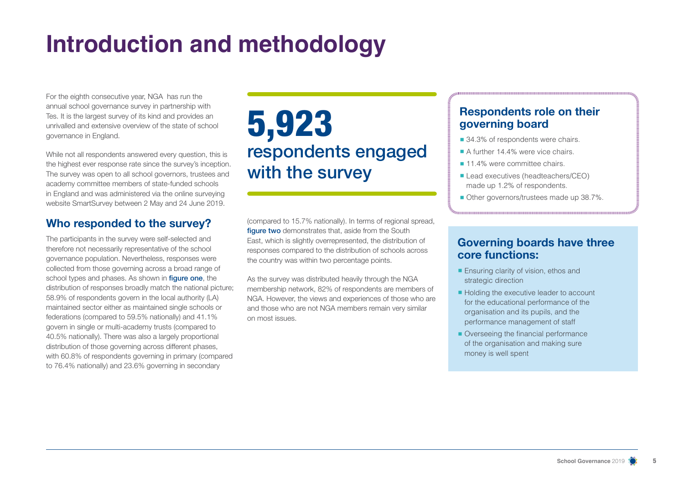## **Introduction and methodology**

For the eighth consecutive year, NGA has run the annual school governance survey in partnership with Tes. It is the largest survey of its kind and provides an unrivalled and extensive overview of the state of school governance in England.

While not all respondents answered every question, this is the highest ever response rate since the survey's inception. The survey was open to all school governors, trustees and academy committee members of state-funded schools in England and was administered via the online surveying website SmartSurvey between 2 May and 24 June 2019.

## **Who responded to the survey?**

The participants in the survey were self-selected and therefore not necessarily representative of the school governance population. Nevertheless, responses were collected from those governing across a broad range of school types and phases. As shown in **figure one**, the distribution of responses broadly match the national picture; 58.9% of respondents govern in the local authority (LA) maintained sector either as maintained single schools or federations (compared to 59.5% nationally) and 41.1% govern in single or multi-academy trusts (compared to 40.5% nationally). There was also a largely proportional distribution of those governing across different phases, with 60.8% of respondents governing in primary (compared to 76.4% nationally) and 23.6% governing in secondary

## 5,923 respondents engaged with the survey

(compared to 15.7% nationally). In terms of regional spread, figure two demonstrates that, aside from the South East, which is slightly overrepresented, the distribution of responses compared to the distribution of schools across the country was within two percentage points.

As the survey was distributed heavily through the NGA membership network, 82% of respondents are members of NGA. However, the views and experiences of those who are and those who are not NGA members remain very similar on most issues.

## **Respondents role on their governing board**

- 34.3% of respondents were chairs.
- A further 14.4% were vice chairs
- 11.4% were committee chairs.
- Lead executives (headteachers/CEO) made up 1.2% of respondents.
- Other governors/trustees made up 38.7%.

## **Governing boards have three core functions:**

- Ensuring clarity of vision, ethos and strategic direction
- Holding the executive leader to account for the educational performance of the organisation and its pupils, and the performance management of staff
- Overseeing the financial performance of the organisation and making sure money is well spent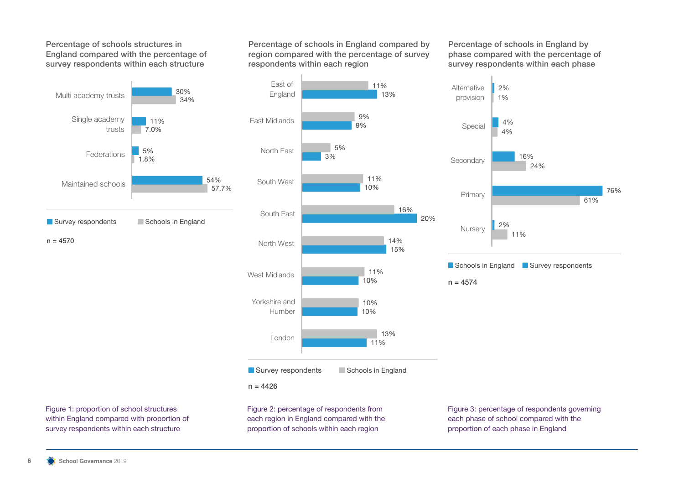Percentage of schools structures in England compared with the percentage of survey respondents within each structure



Percentage of schools in England compared by region compared with the percentage of survey respondents within each region

Percentage of schools in England by phase compared with the percentage of survey respondents within each phase



each region in England compared with the proportion of schools within each region

Figure 1: proportion of school structures within England compared with proportion of survey respondents within each structure

Figure 3: percentage of respondents governing each phase of school compared with the proportion of each phase in England

11%

Schools in England Survey respondents

2%

4%

4%

1%

2%

24%

16%

61%

76%

 $n = 4574$ 

**Nurserv** 

Primary

Secondary

Special

**Alternative** provision

 $n = 4570$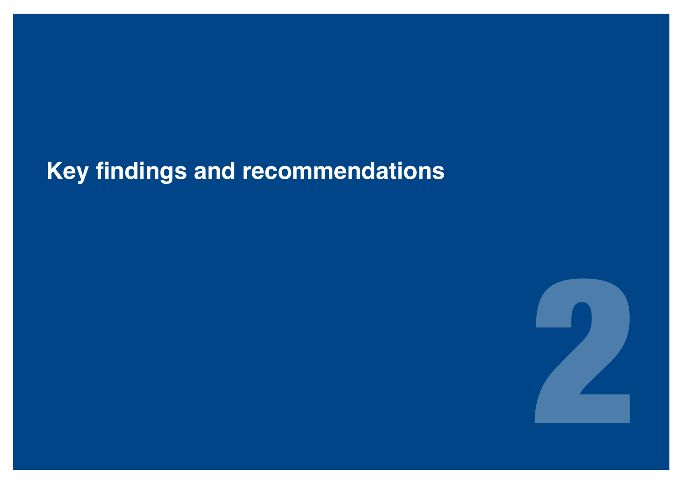## **Key findings and recommendations**

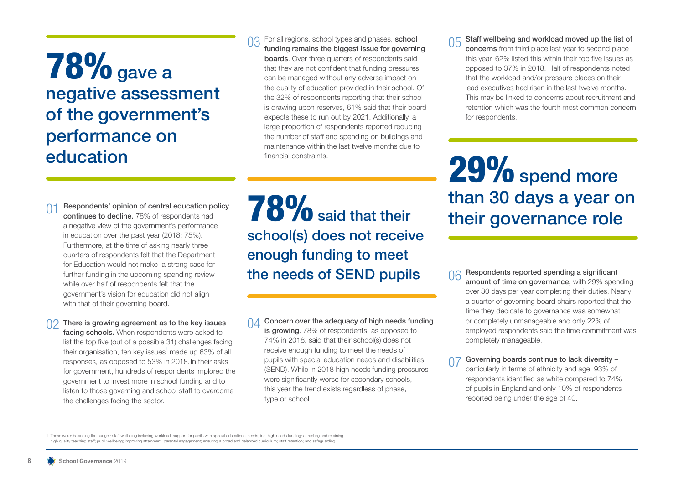## **78%** gave a negative assessment of the government's performance on education

#### For all regions, school types and phases, school funding remains the biggest issue for governing **boards.** Over three quarters of respondents said that they are not confident that funding pressures can be managed without any adverse impact on the quality of education provided in their school. Of the 32% of respondents reporting that their school is drawing upon reserves, 61% said that their board expects these to run out by 2021. Additionally, a large proportion of respondents reported reducing the number of staff and spending on buildings and maintenance within the last twelve months due to financial constraints.

Staff wellbeing and workload moved up the list of concerns from third place last year to second place this year. 62% listed this within their top five issues as opposed to 37% in 2018. Half of respondents noted that the workload and/or pressure places on their lead executives had risen in the last twelve months. This may be linked to concerns about recruitment and retention which was the fourth most common concern for respondents.

01 Respondents' opinion of central education policy<br>
a negative view of the government's performance<br>
a negative view of the government's performance 29% spend more than 30 days a year on

a negative view of the government's performance in education over the past year (2018: 75%). Furthermore, at the time of asking nearly three quarters of respondents felt that the Department for Education would not make a strong case for further funding in the upcoming spending review while over half of respondents felt that the government's vision for education did not align with that of their governing board.

continues to decline. 78% of respondents had

There is growing agreement as to the key issues facing schools. When respondents were asked to list the top five (out of a possible 31) challenges facing their organisation, ten key issues<sup>1</sup> made up 63% of all responses, as opposed to 53% in 2018.In their asks for government, hundreds of respondents implored the government to invest more in school funding and to listen to those governing and school staff to overcome the challenges facing the sector.

school(s) does not receive enough funding to meet the needs of SEND pupils

 $\bigcap_{\Delta}$  Concern over the adequacy of high needs funding is growing. 78% of respondents, as opposed to 74% in 2018, said that their school(s) does not receive enough funding to meet the needs of pupils with special education needs and disabilities (SEND). While in 2018 high needs funding pressures were significantly worse for secondary schools, this year the trend exists regardless of phase, type or school.

06 Respondents reported spending a significant amount of time on governance, with 29% spending over 30 days per year completing their duties. Nearly a quarter of governing board chairs reported that the time they dedicate to governance was somewhat or completely unmanageable and only 22% of employed respondents said the time commitment was completely manageable.

Governing boards continue to lack diversity – particularly in terms of ethnicity and age. 93% of respondents identified as white compared to 74% of pupils in England and only 10% of respondents reported being under the age of 40.

1. These were: balancing the budget; staff wellbeing including workload; support for pupils with special educational needs, inc. high needs funding; attracting and retaining high quality teaching staff; pupil wellbeing; improving attainment; parental engagement; ensuring a broad and balanced curriculum; staff retention; and safeguarding.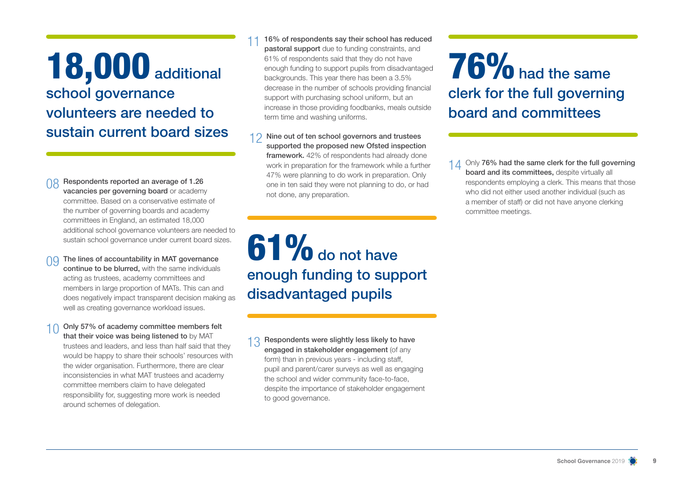## 18,000 additional school governance volunteers are needed to sustain current board sizes

Respondents reported an average of 1.26 vacancies per governing board or academy committee. Based on a conservative estimate of the number of governing boards and academy committees in England, an estimated 18,000 additional school governance volunteers are needed to sustain school governance under current board sizes.

- The lines of accountability in MAT governance continue to be blurred, with the same individuals acting as trustees, academy committees and members in large proportion of MATs. This can and does negatively impact transparent decision making as well as creating governance workload issues.
- 10 Only 57% of academy committee members felt that their voice was being listened to by MAT trustees and leaders, and less than half said that they would be happy to share their schools' resources with the wider organisation. Furthermore, there are clear inconsistencies in what MAT trustees and academy committee members claim to have delegated responsibility for, suggesting more work is needed around schemes of delegation.

16% of respondents say their school has reduced pastoral support due to funding constraints, and 61% of respondents said that they do not have enough funding to support pupils from disadvantaged backgrounds. This year there has been a 3.5% decrease in the number of schools providing financial support with purchasing school uniform, but an increase in those providing foodbanks, meals outside term time and washing uniforms.

12 Nine out of ten school governors and trustees supported the proposed new Ofsted inspection framework. 42% of respondents had already done work in preparation for the framework while a further 47% were planning to do work in preparation. Only one in ten said they were not planning to do, or had not done, any preparation.

 $61\%$  do not have enough funding to support disadvantaged pupils

1 2 Respondents were slightly less likely to have engaged in stakeholder engagement (of any form) than in previous years - including staff, pupil and parent/carer surveys as well as engaging the school and wider community face-to-face, despite the importance of stakeholder engagement to good governance.

76% had the same clerk for the full governing board and committees

1 1 Only 76% had the same clerk for the full governing board and its committees, despite virtually all respondents employing a clerk. This means that those who did not either used another individual (such as a member of staff) or did not have anyone clerking committee meetings.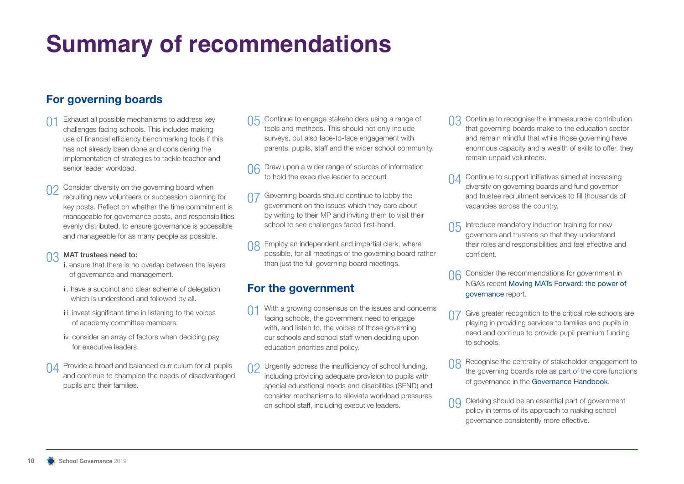## **Summary of recommendations**

## **For governing boards**

- $\bigcap$  1 Exhaust all possible mechanisms to address key challenges facing schools. This includes making use of financial efficiency benchmarking tools if this has not already been done and considering the implementation of strategies to tackle teacher and senior leader workload.
- Consider diversity on the governing board when recruiting new volunteers or succession planning for key posts. Reflect on whether the time commitment is manageable for governance posts, and responsibilities evenly distributed, to ensure governance is accessible and manageable for as many people as possible.

#### 03 MAT trustees need to:

- i. ensure that there is no overlap between the layers of governance and management.
- ii. have a succinct and clear scheme of delegation which is understood and followed by all.
- iii. invest significant time in listening to the voices of academy committee members.
- iv. consider an array of factors when deciding pay for executive leaders.
- $\bigcap$  Provide a broad and balanced curriculum for all pupils and continue to champion the needs of disadvantaged pupils and their families.
- Continue to engage stakeholders using a range of tools and methods. This should not only include surveys, but also face-to-face engagement with parents, pupils, staff and the wider school community.
- Draw upon a wider range of sources of information to hold the executive leader to account
- Governing boards should continue to lobby the government on the issues which they care about by writing to their MP and inviting them to visit their school to see challenges faced first-hand.
- **08** Employ an independent and impartial clerk, where possible, for all meetings of the governing board rather than just the full governing board meetings.

## **For the government**

- With a growing consensus on the issues and concerns facing schools, the government need to engage with, and listen to, the voices of those governing our schools and school staff when deciding upon education priorities and policy.
- Urgently address the insufficiency of school funding, including providing adequate provision to pupils with special educational needs and disabilities (SEND) and consider mechanisms to alleviate workload pressures on school staff, including executive leaders.
- Continue to recognise the immeasurable contribution that governing boards make to the education sector and remain mindful that while those governing have enormous capacity and a wealth of skills to offer, they remain unpaid volunteers.
- 01 Continue to support initiatives aimed at increasing diversity on governing boards and fund governor and trustee recruitment services to fill thousands of vacancies across the country.
- Introduce mandatory induction training for new governors and trustees so that they understand their roles and responsibilities and feel effective and confident.
- Consider the recommendations for government in NGA's recent Moving MATs Forward: the power of governance report.
- 07 Give greater recognition to the critical role schools are playing in providing services to families and pupils in need and continue to provide pupil premium funding to schools.
- 08 Recognise the centrality of stakeholder engagement to the governing board's role as part of the core functions of governance in the Governance Handbook.
- 00 Clerking should be an essential part of government policy in terms of its approach to making school governance consistently more effective.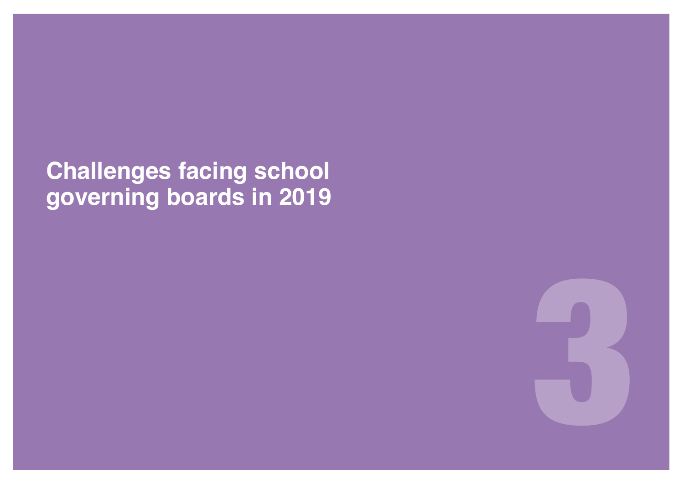**Challenges facing school governing boards in 2019**

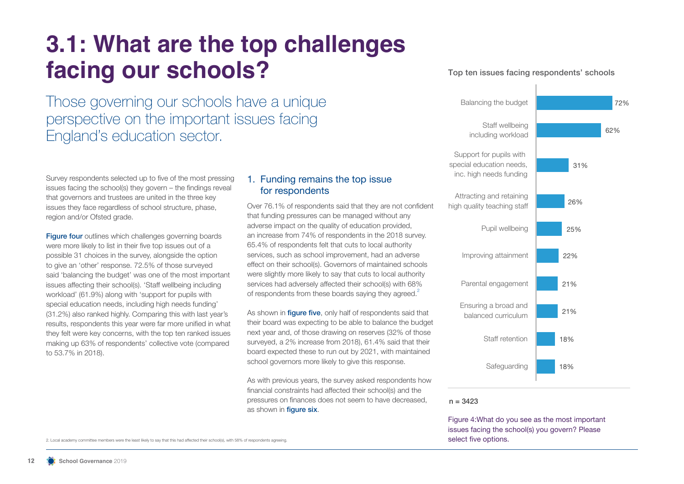## **3.1: What are the top challenges facing our schools?**

Those governing our schools have a unique perspective on the important issues facing England's education sector.

Survey respondents selected up to five of the most pressing issues facing the school(s) they govern – the findings reveal that governors and trustees are united in the three key issues they face regardless of school structure, phase, region and/or Ofsted grade.

Figure four outlines which challenges governing boards were more likely to list in their five top issues out of a possible 31 choices in the survey, alongside the option to give an 'other' response. 72.5% of those surveyed said 'balancing the budget' was one of the most important issues affecting their school(s). 'Staff wellbeing including workload' (61.9%) along with 'support for pupils with special education needs, including high needs funding' (31.2%) also ranked highly. Comparing this with last year's results, respondents this year were far more unified in what they felt were key concerns, with the top ten ranked issues making up 63% of respondents' collective vote (compared to 53.7% in 2018).

### 1. Funding remains the top issue for respondents

Over 76.1% of respondents said that they are not confident that funding pressures can be managed without any adverse impact on the quality of education provided, an increase from 74% of respondents in the 2018 survey. 65.4% of respondents felt that cuts to local authority services, such as school improvement, had an adverse effect on their school(s). Governors of maintained schools were slightly more likely to say that cuts to local authority services had adversely affected their school(s) with 68% of respondents from these boards saving they agreed.<sup>2</sup>

As shown in **figure five**, only half of respondents said that their board was expecting to be able to balance the budget next year and, of those drawing on reserves (32% of those surveyed, a 2% increase from 2018), 61.4% said that their board expected these to run out by 2021, with maintained school governors more likely to give this response.

As with previous years, the survey asked respondents how financial constraints had affected their school(s) and the pressures on finances does not seem to have decreased, as shown in **figure six**.





 $n = 3423$ 

Figure 4:What do you see as the most important issues facing the school(s) you govern? Please

2. Local academy committee members were the least likely to say that this had affected their school(s), with 58% of respondents agreeing.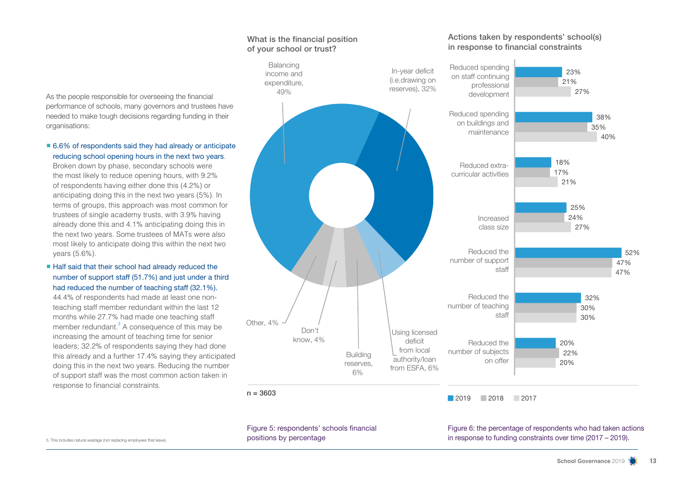As the people responsible for overseeing the financial performance of schools, many governors and trustees have needed to make tough decisions regarding funding in their organisations:

■ 6.6% of respondents said they had already or anticipate reducing school opening hours in the next two years.

Broken down by phase, secondary schools were the most likely to reduce opening hours, with 9.2% of respondents having either done this (4.2%) or anticipating doing this in the next two years (5%). In terms of groups, this approach was most common for trustees of single academy trusts, with 3.9% having already done this and 4.1% anticipating doing this in the next two years. Some trustees of MATs were also most likely to anticipate doing this within the next two years (5.6%).

■ Half said that their school had already reduced the number of support staff (51.7%) and just under a third had reduced the number of teaching staff (32.1%).

44.4% of respondents had made at least one nonteaching staff member redundant within the last 12 months while 27.7% had made one teaching staff member redundant.<sup>3</sup> A consequence of this may be increasing the amount of teaching time for senior leaders; 32.2% of respondents saying they had done this already and a further 17.4% saying they anticipated doing this in the next two years. Reducing the number of support staff was the most common action taken in response to financial constraints.



In-year deficit (i.e.drawing on reserves), 32%

Figure 5: respondents' schools financial positions by percentage

Figure 6: the percentage of respondents who had taken actions 3. This includes natural wastage (not replacing employees that leave). **Solutions in a subseque to funding constraints over time (2017 – 2019). POSITIONS by percentage Solutions Constraints over time (2017 – 2019)** 

#### What is the financial position of your school or trust?

Balancing income and expenditure. 49%

#### Actions taken by respondents' school(s) in response to financial constraints

Reduced spending on staff continuing professional development

27%

21%

23%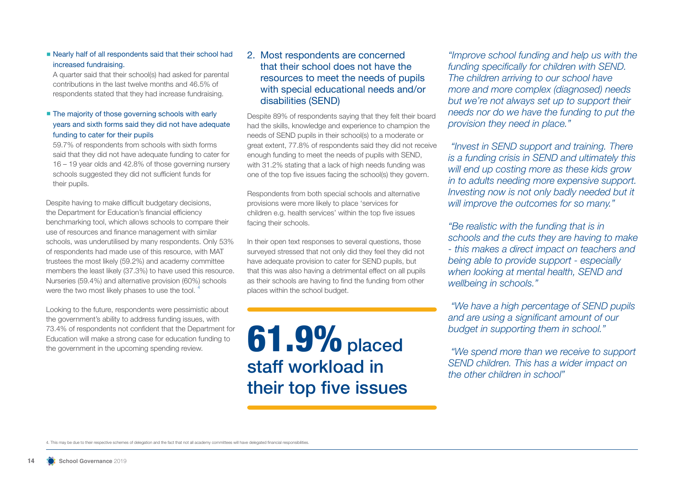■ Nearly half of all respondents said that their school had increased fundraising.

A quarter said that their school(s) had asked for parental contributions in the last twelve months and 46.5% of respondents stated that they had increase fundraising.

#### ■ The majority of those governing schools with early years and sixth forms said they did not have adequate funding to cater for their pupils

59.7% of respondents from schools with sixth forms said that they did not have adequate funding to cater for 16 – 19 year olds and 42.8% of those governing nursery schools suggested they did not sufficient funds for their pupils.

Despite having to make difficult budgetary decisions, the Department for Education's financial efficiency benchmarking tool, which allows schools to compare their use of resources and finance management with similar schools, was underutilised by many respondents. Only 53% of respondents had made use of this resource, with MAT trustees the most likely (59.2%) and academy committee members the least likely (37.3%) to have used this resource. Nurseries (59.4%) and alternative provision (60%) schools were the two most likely phases to use the tool.

Looking to the future, respondents were pessimistic about the government's ability to address funding issues, with 73.4% of respondents not confident that the Department for Education will make a strong case for education funding to the government in the upcoming spending review.

### 2. Most respondents are concerned that their school does not have the resources to meet the needs of pupils with special educational needs and/or disabilities (SEND)

Despite 89% of respondents saying that they felt their board had the skills, knowledge and experience to champion the needs of SEND pupils in their school(s) to a moderate or great extent, 77.8% of respondents said they did not receive enough funding to meet the needs of pupils with SEND, with 31.2% stating that a lack of high needs funding was one of the top five issues facing the school(s) they govern.

Respondents from both special schools and alternative provisions were more likely to place 'services for children e.g. health services' within the top five issues facing their schools.

In their open text responses to several questions, those surveyed stressed that not only did they feel they did not have adequate provision to cater for SEND pupils, but that this was also having a detrimental effect on all pupils as their schools are having to find the funding from other places within the school budget.

**61.9%** placed staff workload in their top five issues

*"Improve school funding and help us with the funding specifically for children with SEND. The children arriving to our school have more and more complex (diagnosed) needs but we're not always set up to support their needs nor do we have the funding to put the provision they need in place."*

 *"Invest in SEND support and training. There is a funding crisis in SEND and ultimately this will end up costing more as these kids grow in to adults needing more expensive support. Investing now is not only badly needed but it will improve the outcomes for so many."*

*"Be realistic with the funding that is in schools and the cuts they are having to make - this makes a direct impact on teachers and being able to provide support - especially when looking at mental health, SEND and wellbeing in schools."* 

 *"We have a high percentage of SEND pupils and are using a significant amount of our budget in supporting them in school."*

 *"We spend more than we receive to support SEND children. This has a wider impact on the other children in school"*

4. This may be due to their respective schemes of delegation and the fact that not all academy committees will have delegated financial responsibilities.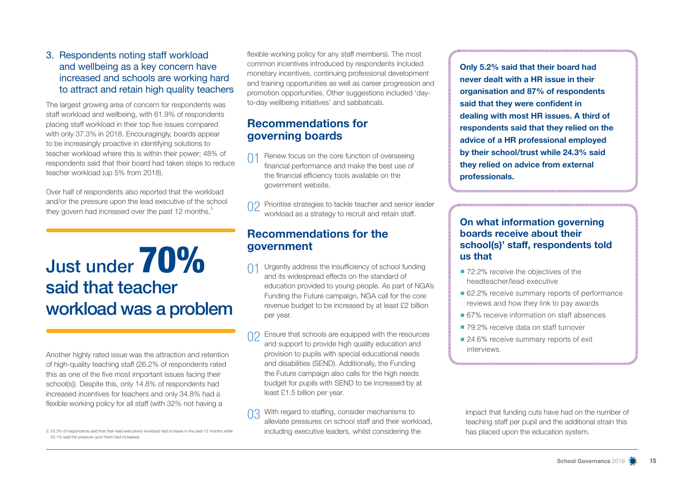### 3. Respondents noting staff workload and wellbeing as a key concern have increased and schools are working hard to attract and retain high quality teachers

The largest growing area of concern for respondents was staff workload and wellbeing, with 61.9% of respondents placing staff workload in their top five issues compared with only 37.3% in 2018. Encouragingly, boards appear to be increasingly proactive in identifying solutions to teacher workload where this is within their power; 48% of respondents said that their board had taken steps to reduce teacher workload (up 5% from 2018).

Over half of respondents also reported that the workload and/or the pressure upon the lead executive of the school they govern had increased over the past 12 months.<sup>5</sup>

## Just under 70% said that teacher workload was a problem

Another highly rated issue was the attraction and retention of high-quality teaching staff (26.2% of respondents rated this as one of the five most important issues facing their school(s)). Despite this, only 14.8% of respondents had increased incentives for teachers and only 34.8% had a flexible working policy for all staff (with 32% not having a

5. 53.3% of respondents said that their lead executive's workload had increase in the past 12 months while 55.1% said the pressure upon them had increased.

flexible working policy for any staff members). The most common incentives introduced by respondents included monetary incentives, continuing professional development and training opportunities as well as career progression and promotion opportunities. Other suggestions included 'dayto-day wellbeing initiatives' and sabbaticals.

## **Recommendations for governing boards**

- Renew focus on the core function of overseeing financial performance and make the best use of the financial efficiency tools available on the government website.
- 02 Prioritise strategies to tackle teacher and senior leader workload as a strategy to recruit and retain staff.

## **Recommendations for the government**

- Urgently address the insufficiency of school funding and its widespread effects on the standard of education provided to young people. As part of NGA's Funding the Future campaign, NGA call for the core revenue budget to be increased by at least £2 billion per year.
- Ensure that schools are equipped with the resources and support to provide high quality education and provision to pupils with special educational needs and disabilities (SEND). Additionally, the Funding the Future campaign also calls for the high needs budget for pupils with SEND to be increased by at least £1.5 billion per year.
- With regard to staffing, consider mechanisms to alleviate pressures on school staff and their workload, including executive leaders, whilst considering the

**Only 5.2% said that their board had never dealt with a HR issue in their organisation and 87% of respondents said that they were confident in dealing with most HR issues. A third of respondents said that they relied on the advice of a HR professional employed by their school/trust while 24.3% said they relied on advice from external professionals.**

### **On what information governing boards receive about their school(s)' staff, respondents told us that**

- 72.2% receive the objectives of the headteacher/lead executive
- 62.2% receive summary reports of performance reviews and how they link to pay awards
- 67% receive information on staff absences
- 79.2% receive data on staff turnover
- 24.6% receive summary reports of exit interviews.

impact that funding cuts have had on the number of teaching staff per pupil and the additional strain this has placed upon the education system.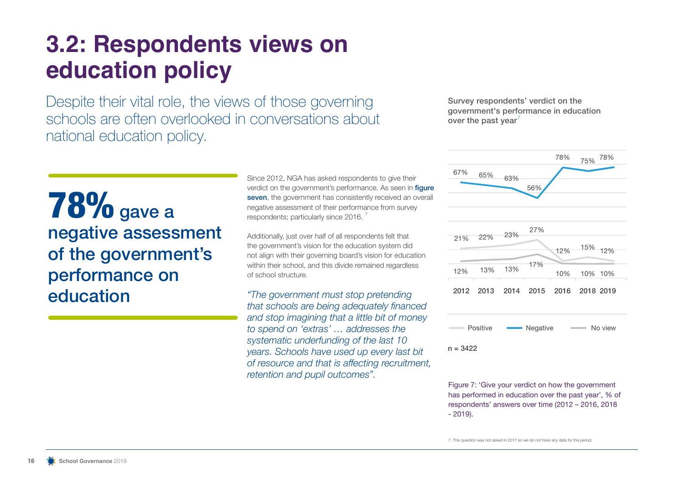## **3.2: Respondents views on education policy**

Despite their vital role, the views of those governing schools are often overlooked in conversations about national education policy.

Survey respondents' verdict on the government's performance in education over the past year'



 $n = 3422$ 

Figure 7: 'Give your verdict on how the government has performed in education over the past year', % of respondents' answers over time (2012 – 2016, 2018 - 2019).

7. This question was not asked in 2017 so we do not have any data for the period.

**78%** gave a negative assessment of the government's performance on education

Since 2012, NGA has asked respondents to give their verdict on the government's performance. As seen in **figure** seven, the government has consistently received an overall negative assessment of their performance from survey respondents; particularly since 2016.

Additionally, just over half of all respondents felt that the government's vision for the education system did not align with their governing board's vision for education within their school, and this divide remained regardless of school structure.

*"The government must stop pretending that schools are being adequately financed and stop imagining that a little bit of money to spend on 'extras' … addresses the systematic underfunding of the last 10 years. Schools have used up every last bit of resource and that is affecting recruitment, retention and pupil outcomes".*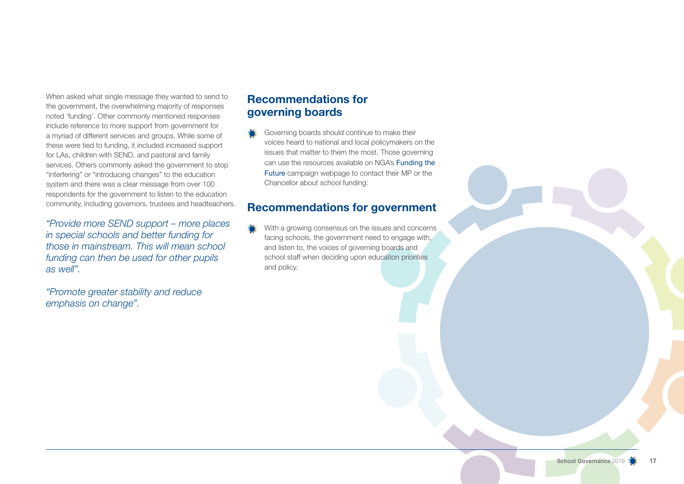When asked what single message they wanted to send to the government, the overwhelming majority of responses noted 'funding'. Other commonly mentioned responses include reference to more support from government for a myriad of different services and groups. While some of these were tied to funding, it included increased support for LAs, children with SEND, and pastoral and family services. Others commonly asked the government to stop "interfering" or "introducing changes" to the education system and there was a clear message from over 100 respondents for the government to listen to the education community, including governors, trustees and headteachers.

*"Provide more SEND support – more places in special schools and better funding for those in mainstream. This will mean school funding can then be used for other pupils as well".* 

*"Promote greater stability and reduce emphasis on change".* 

## **Recommendations for governing boards**

Governing boards should continue to make their voices heard to national and local policymakers on the issues that matter to them the most. Those governing can use the resources available on NGA's Funding the Future campaign webpage to contact their MP or the Chancellor about school funding.

## **Recommendations for government**

With a growing consensus on the issues and concerns facing schools, the government need to engage with, and listen to, the voices of governing boards and school staff when deciding upon education priorities and policy.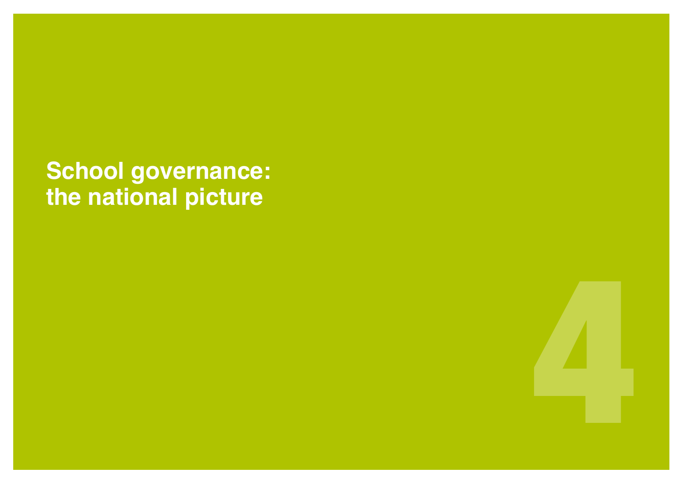**School governance: the national picture** 

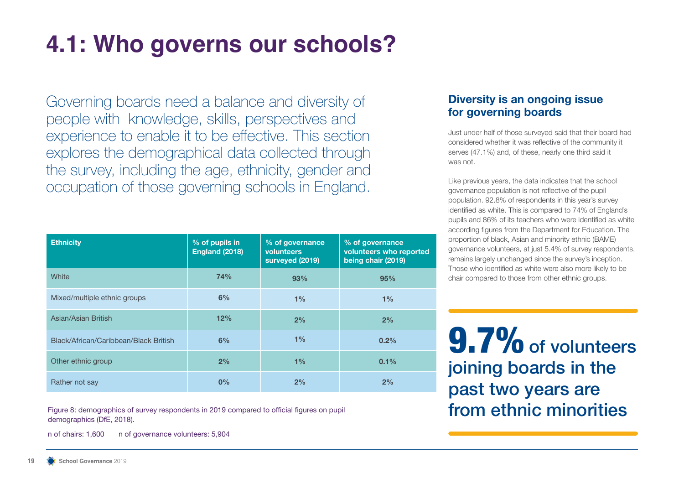# **4.1: Who governs our schools?**

Governing boards need a balance and diversity of people with knowledge, skills, perspectives and experience to enable it to be effective. This section explores the demographical data collected through the survey, including the age, ethnicity, gender and occupation of those governing schools in England.

## **Diversity is an ongoing issue for governing boards**

Just under half of those surveyed said that their board had considered whether it was reflective of the community it serves (47.1%) and, of these, nearly one third said it was not.

Like previous years, the data indicates that the school governance population is not reflective of the pupil population. 92.8% of respondents in this year's survey identified as white. This is compared to 74% of England's pupils and 86% of its teachers who were identified as white according figures from the Department for Education. The proportion of black, Asian and minority ethnic (BAME) governance volunteers, at just 5.4% of survey respondents, remains largely unchanged since the survey's inception. Those who identified as white were also more likely to be chair compared to those from other ethnic groups.

9.7% of volunteers joining boards in the past two years are

| <b>Ethnicity</b>                      | % of pupils in<br>England (2018) | % of governance<br>volunteers<br>surveyed (2019) | % of governance<br>volunteers who reported<br>being chair (2019) |
|---------------------------------------|----------------------------------|--------------------------------------------------|------------------------------------------------------------------|
| White                                 | 74%                              | 93%                                              | 95%                                                              |
| Mixed/multiple ethnic groups          | 6%                               | 1%                                               | 1%                                                               |
| Asian/Asian British                   | 12%                              | 2%                                               | 2%                                                               |
| Black/African/Caribbean/Black British | 6%                               | 1%                                               | 0.2%                                                             |
| Other ethnic group                    | 2%                               | 1%                                               | $0.1\%$                                                          |
| Rather not say                        | 0%                               | 2%                                               | 2%                                                               |

Figure 8: demographics of survey respondents in 2019 compared to official figures on pupil **From ethnic minorities** demographics (DfE, 2018).

n of chairs: 1,600 n of governance volunteers: 5,904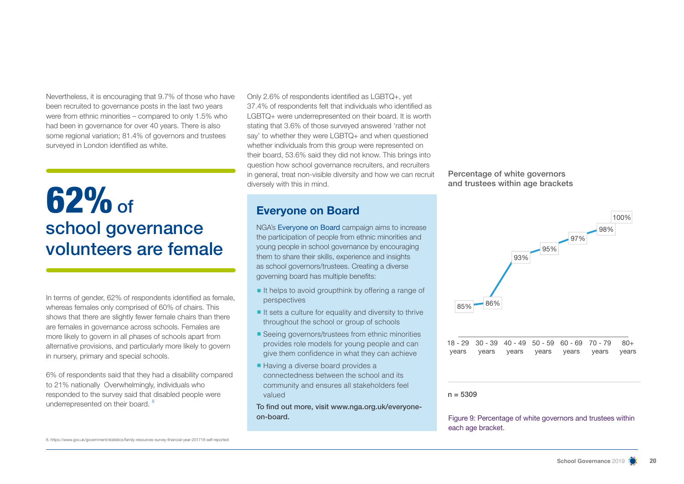Nevertheless, it is encouraging that 9.7% of those who have been recruited to governance posts in the last two years were from ethnic minorities – compared to only 1.5% who had been in governance for over 40 years. There is also some regional variation; 81.4% of governors and trustees surveyed in London identified as white.

## $62%$  of school governance volunteers are female

In terms of gender, 62% of respondents identified as female, whereas females only comprised of 60% of chairs. This shows that there are slightly fewer female chairs than there are females in governance across schools. Females are more likely to govern in all phases of schools apart from alternative provisions, and particularly more likely to govern in nursery, primary and special schools.

6% of respondents said that they had a disability compared to 21% nationally Overwhelmingly, individuals who responded to the survey said that disabled people were underrepresented on their board.<sup>8</sup>

Only 2.6% of respondents identified as LGBTQ+, yet 37.4% of respondents felt that individuals who identified as LGBTQ+ were underrepresented on their board. It is worth stating that 3.6% of those surveyed answered 'rather not say' to whether they were LGBTQ+ and when questioned whether individuals from this group were represented on their board, 53.6% said they did not know. This brings into question how school governance recruiters, and recruiters in general, treat non-visible diversity and how we can recruit diversely with this in mind.

NGA's Everyone on Board campaign aims to increase the participation of people from ethnic minorities and young people in school governance by encouraging them to share their skills, experience and insights as school governors/trustees. Creating a diverse governing board has multiple benefits:

- It helps to avoid groupthink by offering a range of perspectives
- $\blacksquare$  It sets a culture for equality and diversity to thrive throughout the school or group of schools
- Seeing governors/trustees from ethnic minorities provides role models for young people and can give them confidence in what they can achieve
- Having a diverse board provides a connectedness between the school and its community and ensures all stakeholders feel valued

To find out more, visit www.nga.org.uk/everyoneon-board.

Percentage of white governors and trustees within age brackets



|  |  | $18 - 29$ 30 - 39 40 - 49 50 - 59 60 - 69 70 - 79 80 + |  |
|--|--|--------------------------------------------------------|--|
|  |  | years years years years years years years              |  |

 $n = 5309$ 

Figure 9: Percentage of white governors and trustees within each age bracket.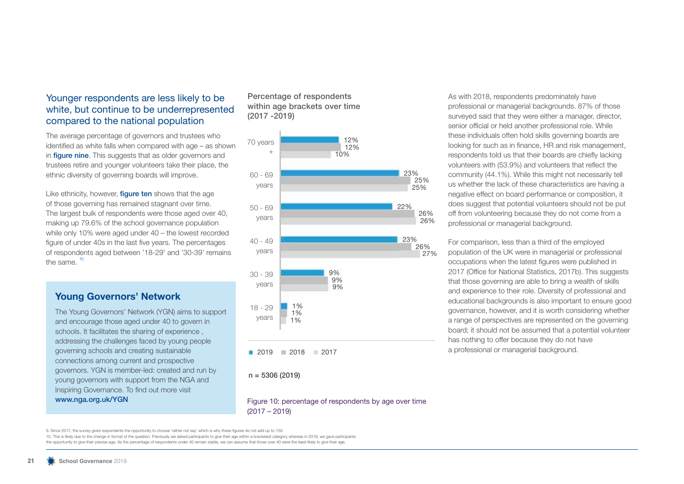### Younger respondents are less likely to be white, but continue to be underrepresented compared to the national population

The average percentage of governors and trustees who identified as white falls when compared with age – as shown in **figure nine.** This suggests that as older governors and trustees retire and younger volunteers take their place, the ethnic diversity of governing boards will improve.

Like ethnicity, however, **figure ten** shows that the age of those governing has remained stagnant over time. The largest bulk of respondents were those aged over 40, making up 79.6% of the school governance population while only 10% were aged under 40 – the lowest recorded figure of under 40s in the last five years. The percentages of respondents aged between '18-29' and '30-39' remains the same.  $10$ 

### **Young Governors' Network**

The Young Governors' Network (YGN) aims to support and encourage those aged under 40 to govern in schools. It facilitates the sharing of experience , addressing the challenges faced by young people governing schools and creating sustainable connections among current and prospective governors. YGN is member-led: created and run by young governors with support from the NGA and Inspiring Governance. To find out more visit www.nga.org.uk/YGN

#### Percentage of respondents within age brackets over time (2017 -2019)



As with 2018, respondents predominately have professional or managerial backgrounds. 87% of those surveyed said that they were either a manager, director, senior official or held another professional role. While these individuals often hold skills governing boards are looking for such as in finance, HR and risk management, respondents told us that their boards are chiefly lacking volunteers with (53.9%) and volunteers that reflect the community (44.1%). While this might not necessarily tell us whether the lack of these characteristics are having a negative effect on board performance or composition, it does suggest that potential volunteers should not be put off from volunteering because they do not come from a professional or managerial background.

For comparison, less than a third of the employed population of the UK were in managerial or professional occupations when the latest figures were published in 2017 (Office for National Statistics, 2017b). This suggests that those governing are able to bring a wealth of skills and experience to their role. Diversity of professional and educational backgrounds is also important to ensure good governance, however, and it is worth considering whether a range of perspectives are represented on the governing board; it should not be assumed that a potential volunteer has nothing to offer because they do not have a professional or managerial background.

#### Figure 10: percentage of respondents by age over time (2017 – 2019)

9. Since 2017, the survey gives respondents the opportunity to choose 'rather not say' which is why these figures do not add up to 100.

10. This is likely due to the change in format of the question. Previously we asked participants to give their age within a bracketed category whereas in 2019, we gave participants

the opportunity to give their precise age. As the percentage of respondents under 40 remain stable, we can assume that those over 40 were the least likely to give their age.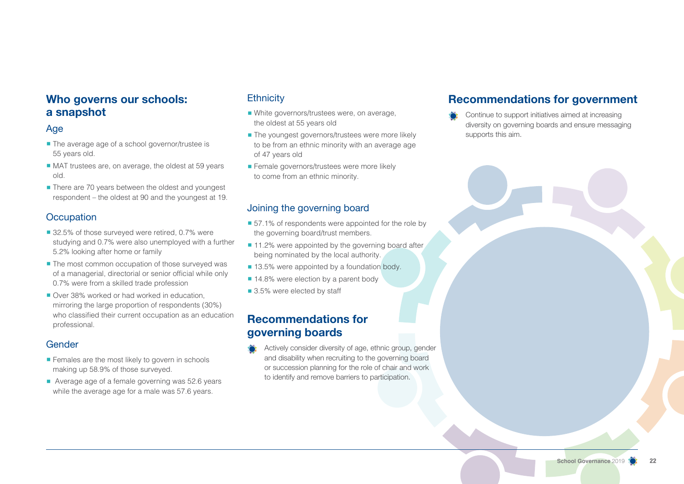## **Who governs our schools: a snapshot**

### Age

- The average age of a school governor/trustee is 55 years old.
- MAT trustees are, on average, the oldest at 59 years old.
- There are 70 years between the oldest and youngest respondent – the oldest at 90 and the youngest at 19.

### **Occupation**

- 32.5% of those surveyed were retired, 0.7% were studying and 0.7% were also unemployed with a further 5.2% looking after home or family
- The most common occupation of those surveyed was of a managerial, directorial or senior official while only 0.7% were from a skilled trade profession
- Over 38% worked or had worked in education mirroring the large proportion of respondents (30%) who classified their current occupation as an education professional.

### **Gender**

- Females are the most likely to govern in schools making up 58.9% of those surveyed.
- Average age of a female governing was 52.6 years while the average age for a male was 57.6 years.

## **Ethnicity**

- White governors/trustees were, on average, the oldest at 55 years old
- The youngest governors/trustees were more likely to be from an ethnic minority with an average age of 47 years old
- **Example 3** Female governors/trustees were more likely to come from an ethnic minority.

### Joining the governing board

- 57.1% of respondents were appointed for the role by the governing board/trust members.
- 11.2% were appointed by the governing board after being nominated by the local authority.
- 13.5% were appointed by a foundation body.
- 14.8% were election by a parent body
- 3.5% were elected by staff

## **Recommendations for governing boards**

Actively consider diversity of age, ethnic group, gender and disability when recruiting to the governing board or succession planning for the role of chair and work to identify and remove barriers to participation.

## **Recommendations for government**

Continue to support initiatives aimed at increasing diversity on governing boards and ensure messaging supports this aim.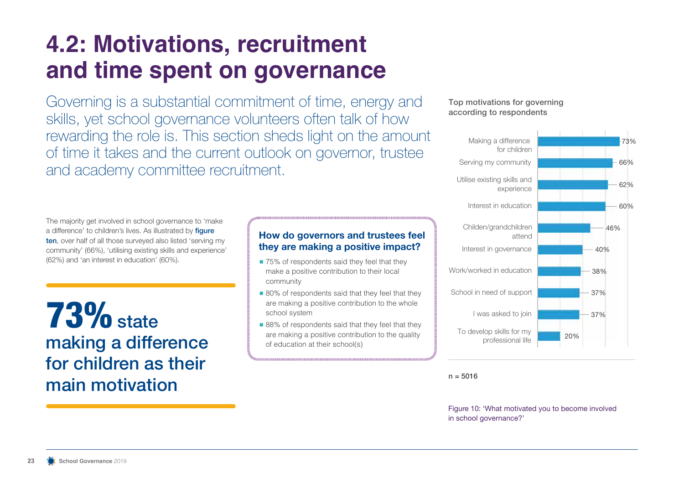## **4.2: Motivations, recruitment and time spent on governance**

Governing is a substantial commitment of time, energy and skills, yet school governance volunteers often talk of how rewarding the role is. This section sheds light on the amount of time it takes and the current outlook on governor, trustee and academy committee recruitment.

The majority get involved in school governance to 'make a difference' to children's lives. As illustrated by *figure* ten, over half of all those surveyed also listed 'serving my community' (66%), 'utilising existing skills and experience' (62%) and 'an interest in education' (60%).

 $73\%$  state making a difference for children as their main motivation

## **How do governors and trustees feel they are making a positive impact?**

- 75% of respondents said they feel that they make a positive contribution to their local community
- 80% of respondents said that they feel that they are making a positive contribution to the whole school system
- 88% of respondents said that they feel that they are making a positive contribution to the quality of education at their school(s)

### Top motivations for governing according to respondents



 $n = 5016$ 

Figure 10: 'What motivated you to become involved in school governance?'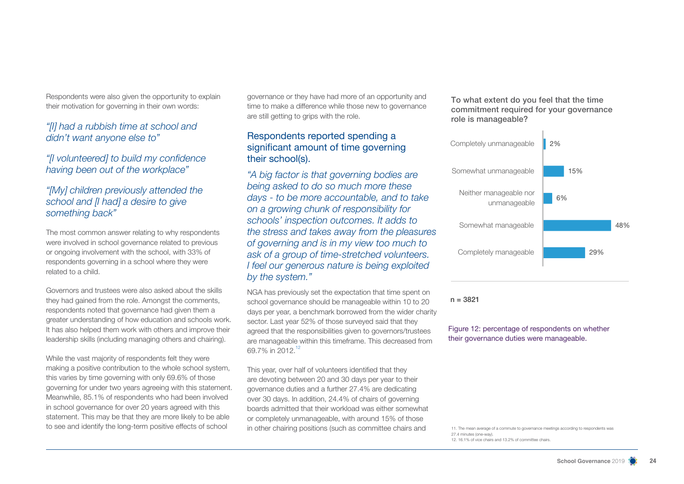Respondents were also given the opportunity to explain their motivation for governing in their own words:

### *"[I] had a rubbish time at school and didn't want anyone else to"*

*"[I volunteered] to build my confidence having been out of the workplace"*

### *"[My] children previously attended the school and [I had] a desire to give something back"*

The most common answer relating to why respondents were involved in school governance related to previous or ongoing involvement with the school, with 33% of respondents governing in a school where they were related to a child.

Governors and trustees were also asked about the skills they had gained from the role. Amongst the comments, respondents noted that governance had given them a greater understanding of how education and schools work. It has also helped them work with others and improve their leadership skills (including managing others and chairing).

While the vast majority of respondents felt they were making a positive contribution to the whole school system, this varies by time governing with only 69.6% of those governing for under two years agreeing with this statement. Meanwhile, 85.1% of respondents who had been involved in school governance for over 20 years agreed with this statement. This may be that they are more likely to be able to see and identify the long-term positive effects of school

governance or they have had more of an opportunity and time to make a difference while those new to governance are still getting to grips with the role.

### Respondents reported spending a significant amount of time governing their school(s).

*"A big factor is that governing bodies are being asked to do so much more these days - to be more accountable, and to take on a growing chunk of responsibility for schools' inspection outcomes. It adds to the stress and takes away from the pleasures of governing and is in my view too much to ask of a group of time-stretched volunteers. I feel our generous nature is being exploited by the system."*

NGA has previously set the expectation that time spent on school governance should be manageable within 10 to 20 days per year, a benchmark borrowed from the wider charity sector. Last year 52% of those surveyed said that they agreed that the responsibilities given to governors/trustees are manageable within this timeframe. This decreased from 69.7% in 2012.<sup>12</sup>

This year, over half of volunteers identified that they are devoting between 20 and 30 days per year to their governance duties and a further 27.4% are dedicating over 30 days. In addition, 24.4% of chairs of governing boards admitted that their workload was either somewhat or completely unmanageable, with around 15% of those in other chairing positions (such as committee chairs and

To what extent do you feel that the time commitment required for your governance role is manageable?



 $n = 3821$ 

Figure 12: percentage of respondents on whether their governance duties were manageable.

11. The mean average of a commute to governance meetings according to respondents was 27.4 minutes (one-way). 12. 16.1% of vice chairs and 13.2% of committee chairs.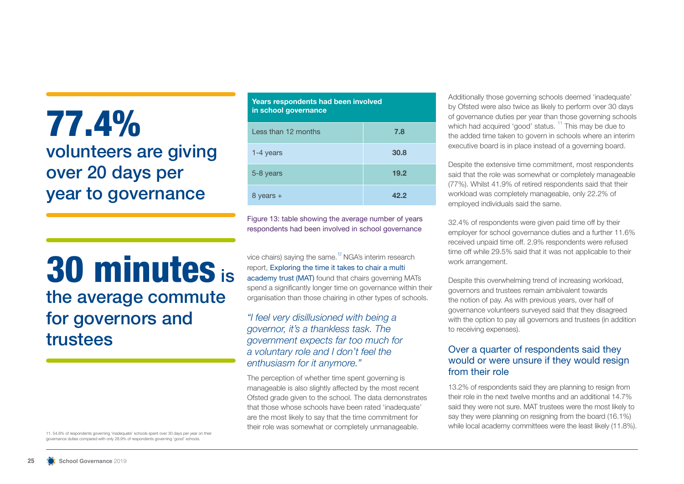## 77.4% volunteers are giving over 20 days per year to governance

## 30 minutes is the average commute for governors and trustees

11. 54.6% of respondents governing 'inadequate' schools spent over 30 days per year on their governance duties compared with only 28.9% of respondents governing 'good' schools.

| Years respondents had been involved<br>in school governance |      |  |  |
|-------------------------------------------------------------|------|--|--|
| Less than 12 months                                         | 7.8  |  |  |
| 1-4 years                                                   | 30.8 |  |  |
| 5-8 years                                                   | 19.2 |  |  |
| rs +                                                        |      |  |  |

Figure 13: table showing the average number of years respondents had been involved in school governance

vice chairs) saying the same.<sup>12</sup> NGA's interim research report, Exploring the time it takes to chair a multi academy trust (MAT) found that chairs governing MATs spend a significantly longer time on governance within their organisation than those chairing in other types of schools.

### *"I feel very disillusioned with being a governor, it's a thankless task. The government expects far too much for a voluntary role and I don't feel the enthusiasm for it anymore."*

The perception of whether time spent governing is manageable is also slightly affected by the most recent Ofsted grade given to the school. The data demonstrates that those whose schools have been rated 'inadequate' are the most likely to say that the time commitment for their role was somewhat or completely unmanageable.

Additionally those governing schools deemed 'inadequate' by Ofsted were also twice as likely to perform over 30 days of governance duties per year than those governing schools which had acquired 'good' status.<sup>11</sup> This may be due to the added time taken to govern in schools where an interim executive board is in place instead of a governing board.

Despite the extensive time commitment, most respondents said that the role was somewhat or completely manageable (77%). Whilst 41.9% of retired respondents said that their workload was completely manageable, only 22.2% of employed individuals said the same.

32.4% of respondents were given paid time off by their employer for school governance duties and a further 11.6% received unpaid time off. 2.9% respondents were refused time off while 29.5% said that it was not applicable to their work arrangement.

Despite this overwhelming trend of increasing workload, governors and trustees remain ambivalent towards the notion of pay. As with previous years, over half of governance volunteers surveyed said that they disagreed with the option to pay all governors and trustees (in addition to receiving expenses).

### Over a quarter of respondents said they would or were unsure if they would resign from their role

13.2% of respondents said they are planning to resign from their role in the next twelve months and an additional 14.7% said they were not sure. MAT trustees were the most likely to say they were planning on resigning from the board (16.1%) while local academy committees were the least likely (11.8%).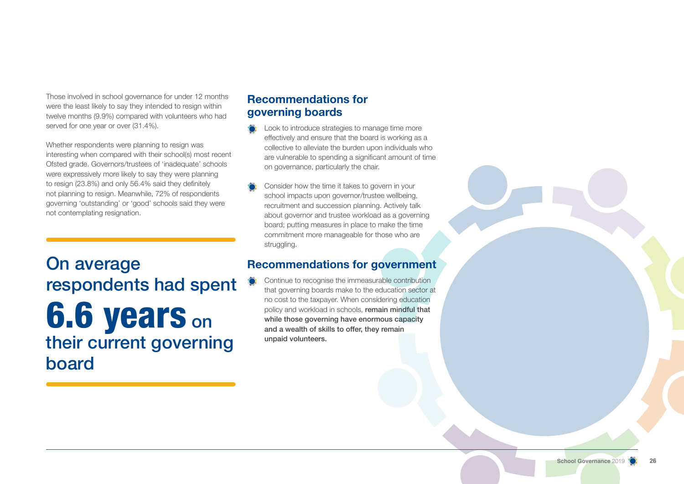Those involved in school governance for under 12 months were the least likely to say they intended to resign within twelve months (9.9%) compared with volunteers who had served for one year or over (31.4%).

Whether respondents were planning to resign was interesting when compared with their school(s) most recent Ofsted grade. Governors/trustees of 'inadequate' schools were expressively more likely to say they were planning to resign (23.8%) and only 56.4% said they definitely not planning to resign. Meanwhile, 72% of respondents governing 'outstanding' or 'good' schools said they were not contemplating resignation.

On average respondents had spent **6.6 years on** their current governing board

## **Recommendations for governing boards**

- Look to introduce strategies to manage time more effectively and ensure that the board is working as a collective to alleviate the burden upon individuals who are vulnerable to spending a significant amount of time on governance, particularly the chair.
- Consider how the time it takes to govern in your school impacts upon governor/trustee wellbeing, recruitment and succession planning. Actively talk about governor and trustee workload as a governing board; putting measures in place to make the time commitment more manageable for those who are struggling.

## **Recommendations for government**

Continue to recognise the immeasurable contribution that governing boards make to the education sector at no cost to the taxpayer. When considering education policy and workload in schools, remain mindful that while those governing have enormous capacity and a wealth of skills to offer, they remain unpaid volunteers.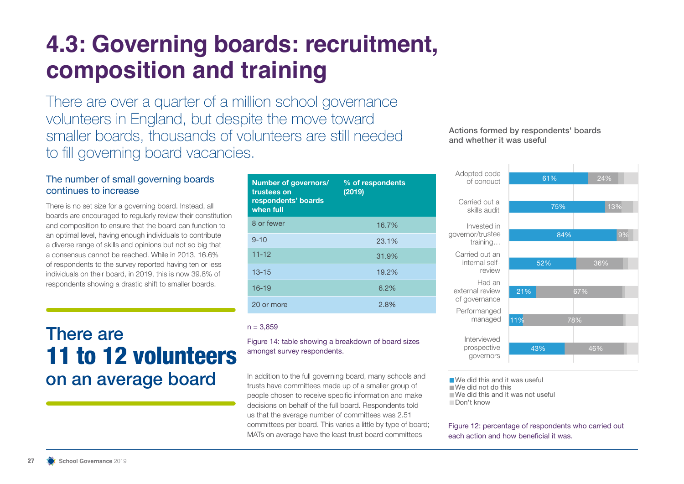## **4.3: Governing boards: recruitment, composition and training**

There are over a quarter of a million school governance volunteers in England, but despite the move toward smaller boards, thousands of volunteers are still needed to fill governing board vacancies.

### The number of small governing boards continues to increase

There is no set size for a governing board. Instead, all boards are encouraged to regularly review their constitution and composition to ensure that the board can function to an optimal level, having enough individuals to contribute a diverse range of skills and opinions but not so big that a consensus cannot be reached. While in 2013, 16.6% of respondents to the survey reported having ten or less individuals on their board, in 2019, this is now 39.8% of respondents showing a drastic shift to smaller boards.

## There are 11 to 12 volunteers on an average board

| Number of governors/<br>trustees on<br>respondents' boards<br>when full | % of respondents<br>(2019) |
|-------------------------------------------------------------------------|----------------------------|
| 8 or fewer                                                              | 16.7%                      |
| $9 - 10$                                                                | 23.1%                      |
| $11 - 12$                                                               | 31.9%                      |
| $13 - 15$                                                               | 19.2%                      |
| $16 - 19$                                                               | 6.2%                       |
| 20 or more                                                              | 2.8%                       |

#### $n = 3.859$

#### Figure 14: table showing a breakdown of board sizes amongst survey respondents.

In addition to the full governing board, many schools and trusts have committees made up of a smaller group of people chosen to receive specific information and make decisions on behalf of the full board. Respondents told us that the average number of committees was 2.51 committees per board. This varies a little by type of board; MATs on average have the least trust board committees

### Actions formed by respondents' boards and whether it was useful



We did this and it was useful We did not do this We did this and it was not useful Don't know

#### Figure 12: percentage of respondents who carried out each action and how beneficial it was.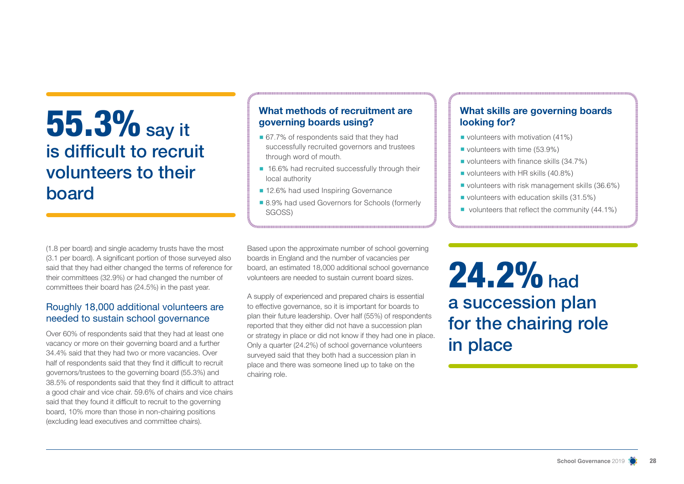## 55.3% say it is difficult to recruit volunteers to their board

(1.8 per board) and single academy trusts have the most (3.1 per board). A significant portion of those surveyed also said that they had either changed the terms of reference for their committees (32.9%) or had changed the number of committees their board has (24.5%) in the past year.

### Roughly 18,000 additional volunteers are needed to sustain school governance

Over 60% of respondents said that they had at least one vacancy or more on their governing board and a further 34.4% said that they had two or more vacancies. Over half of respondents said that they find it difficult to recruit governors/trustees to the governing board (55.3%) and 38.5% of respondents said that they find it difficult to attract a good chair and vice chair. 59.6% of chairs and vice chairs said that they found it difficult to recruit to the governing board, 10% more than those in non-chairing positions (excluding lead executives and committee chairs).

## **What methods of recruitment are governing boards using?**

- 67.7% of respondents said that they had successfully recruited governors and trustees through word of mouth.
- 16.6% had recruited successfully through their local authority
- 12.6% had used Inspiring Governance
- 8.9% had used Governors for Schools (formerly SGOSS)

Based upon the approximate number of school governing boards in England and the number of vacancies per board, an estimated 18,000 additional school governance volunteers are needed to sustain current board sizes.

A supply of experienced and prepared chairs is essential to effective governance, so it is important for boards to plan their future leadership. Over half (55%) of respondents reported that they either did not have a succession plan or strategy in place or did not know if they had one in place. Only a quarter (24.2%) of school governance volunteers surveyed said that they both had a succession plan in place and there was someone lined up to take on the chairing role.

## **What skills are governing boards looking for?**

- volunteers with motivation (41%)
- volunteers with time (53.9%)
- volunteers with finance skills (34.7%)
- volunteers with HR skills (40.8%)
- volunteers with risk management skills (36.6%)
- volunteers with education skills (31.5%)
- volunteers that reflect the community (44.1%)

24.2% had a succession plan for the chairing role in place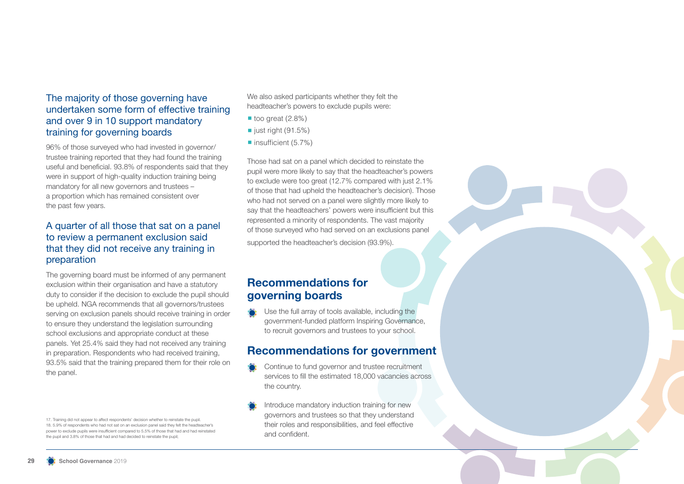### The majority of those governing have undertaken some form of effective training and over 9 in 10 support mandatory training for governing boards

96% of those surveyed who had invested in governor/ trustee training reported that they had found the training useful and beneficial. 93.8% of respondents said that they were in support of high-quality induction training being mandatory for all new governors and trustees – a proportion which has remained consistent over the past few years.

### A quarter of all those that sat on a panel to review a permanent exclusion said that they did not receive any training in preparation

The governing board must be informed of any permanent exclusion within their organisation and have a statutory duty to consider if the decision to exclude the pupil should be upheld. NGA recommends that all governors/trustees serving on exclusion panels should receive training in order to ensure they understand the legislation surrounding school exclusions and appropriate conduct at these panels. Yet 25.4% said they had not received any training in preparation. Respondents who had received training, 93.5% said that the training prepared them for their role on the panel.

17. Training did not appear to affect respondents' decision whether to reinstate the pupil. 18. 5.9% of respondents who had not sat on an exclusion panel said they felt the headteacher's power to exclude pupils were insufficient compared to 5.5% of those that had and had reinstated the pupil and 3.8% of those that had and had decided to reinstate the pupil;

We also asked participants whether they felt the headteacher's powers to exclude pupils were:

- $\blacksquare$  too great (2.8%)
- $\blacksquare$  just right (91.5%)
- insufficient (5.7%)

Those had sat on a panel which decided to reinstate the pupil were more likely to say that the headteacher's powers to exclude were too great (12.7% compared with just 2.1% of those that had upheld the headteacher's decision). Those who had not served on a panel were slightly more likely to say that the headteachers' powers were insufficient but this represented a minority of respondents. The vast majority of those surveyed who had served on an exclusions panel

supported the headteacher's decision (93.9%).

## **Recommendations for governing boards**

Use the full array of tools available, including the government-funded platform Inspiring Governance, to recruit governors and trustees to your school.

## **Recommendations for government**

- Continue to fund governor and trustee recruitment services to fill the estimated 18,000 vacancies across the country.
- Introduce mandatory induction training for new governors and trustees so that they understand their roles and responsibilities, and feel effective and confident.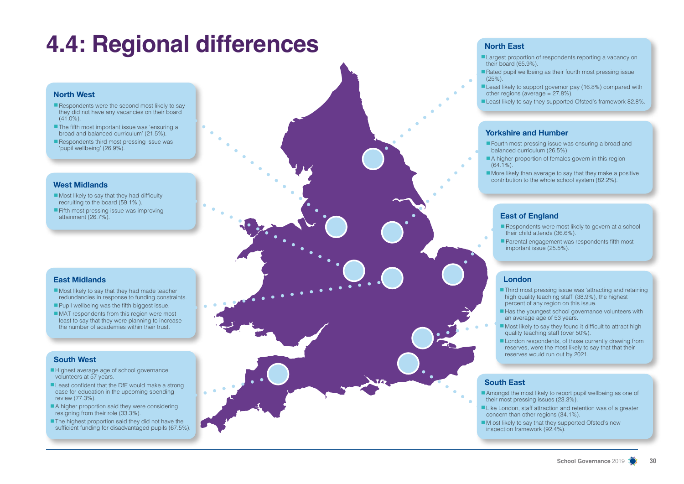## **4.4: Regional differences**

#### **North West**

- $\blacksquare$  Respondents were the second most likely to say they did not have any vacancies on their board  $(41.0\%)$ .
- The fifth most important issue was 'ensuring a broad and balanced curriculum' (21.5%).
- Respondents third most pressing issue was 'pupil wellbeing' (26.9%).

#### **West Midlands**

- Most likely to say that they had difficulty recruiting to the board (59.1%,).
- Fifth most pressing issue was improving attainment (26.7%).

#### **East Midlands**

- Most likely to say that they had made teacher redundancies in response to funding constraints.
- Pupil wellbeing was the fifth biggest issue.
- MAT respondents from this region were most least to say that they were planning to increase the number of academies within their trust.

#### **South West**

- Highest average age of school governance volunteers at 57 years.
- Least confident that the DfE would make a strong case for education in the upcoming spending review (77.3%).
- A higher proportion said they were considering resigning from their role (33.3%).
- The highest proportion said they did not have the sufficient funding for disadvantaged pupils (67.5%).

#### **North East**

- Largest proportion of respondents reporting a vacancy on their board (65.9%).
- Rated pupil wellbeing as their fourth most pressing issue  $(25\%)$ .
- Least likely to support governor pay (16.8%) compared with other regions (average = 27.8%).
- Least likely to say they supported Ofsted's framework 82.8%.

#### **Yorkshire and Humber**

- Fourth most pressing issue was ensuring a broad and balanced curriculum (26.5%).
- A higher proportion of females govern in this region  $(64.1\%)$ .
- $\blacksquare$  More likely than average to say that they make a positive contribution to the whole school system (82.2%).

#### **East of England**

- Respondents were most likely to govern at a school their child attends (36.6%).
- Parental engagement was respondents fifth most important issue (25.5%).

#### **London**

- Third most pressing issue was 'attracting and retaining high quality teaching staff' (38.9%), the highest percent of any region on this issue.
- Has the youngest school governance volunteers with an average age of 53 years.
- $\blacksquare$  Most likely to say they found it difficult to attract high quality teaching staff (over 50%).
- London respondents, of those currently drawing from reserves, were the most likely to say that that their reserves would run out by 2021.

#### **South East**

- Amongst the most likely to report pupil wellbeing as one of their most pressing issues (23.3%).
- Like London, staff attraction and retention was of a greater concern than other regions (34.1%).
- $\blacksquare$  M ost likely to say that they supported Ofsted's new inspection framework (92.4%).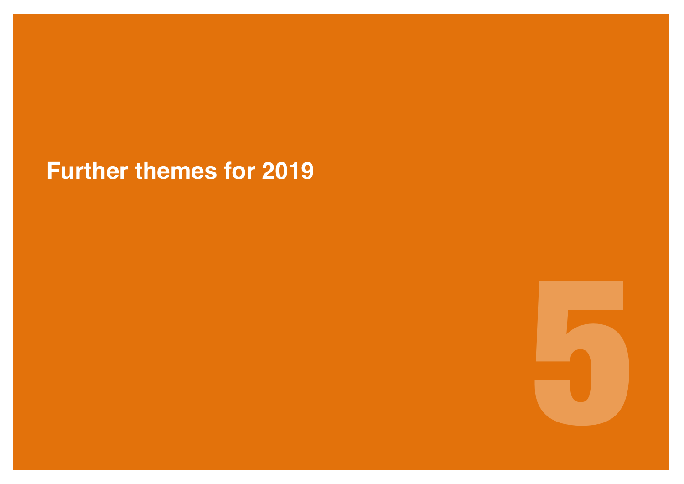## **Further themes for 2019**

5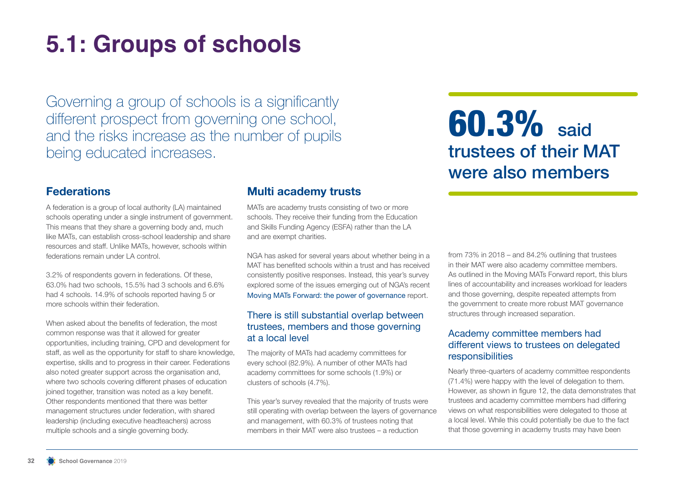## **5.1: Groups of schools**

Governing a group of schools is a significantly different prospect from governing one school, and the risks increase as the number of pupils being educated increases.

## **60.3%** said trustees of their MAT were also members

## **Federations**

A federation is a group of local authority (LA) maintained schools operating under a single instrument of government. This means that they share a governing body and, much like MATs, can establish cross-school leadership and share resources and staff. Unlike MATs, however, schools within federations remain under LA control.

3.2% of respondents govern in federations. Of these, 63.0% had two schools, 15.5% had 3 schools and 6.6% had 4 schools. 14.9% of schools reported having 5 or more schools within their federation.

When asked about the benefits of federation, the most common response was that it allowed for greater opportunities, including training, CPD and development for staff, as well as the opportunity for staff to share knowledge, expertise, skills and to progress in their career. Federations also noted greater support across the organisation and, where two schools covering different phases of education joined together, transition was noted as a key benefit. Other respondents mentioned that there was better management structures under federation, with shared leadership (including executive headteachers) across multiple schools and a single governing body.

## **Multi academy trusts**

MATs are academy trusts consisting of two or more schools. They receive their funding from the Education and Skills Funding Agency (ESFA) rather than the LA and are exempt charities.

NGA has asked for several years about whether being in a MAT has benefited schools within a trust and has received consistently positive responses. Instead, this year's survey explored some of the issues emerging out of NGA's recent Moving MATs Forward: the power of governance report.

### There is still substantial overlap between trustees, members and those governing at a local level

The majority of MATs had academy committees for every school (82.9%). A number of other MATs had academy committees for some schools (1.9%) or clusters of schools (4.7%).

This year's survey revealed that the majority of trusts were still operating with overlap between the layers of governance and management, with 60.3% of trustees noting that members in their MAT were also trustees – a reduction

from 73% in 2018 – and 84.2% outlining that trustees in their MAT were also academy committee members. As outlined in the Moving MATs Forward report, this blurs lines of accountability and increases workload for leaders and those governing, despite repeated attempts from the government to create more robust MAT governance structures through increased separation.

### Academy committee members had different views to trustees on delegated responsibilities

Nearly three-quarters of academy committee respondents (71.4%) were happy with the level of delegation to them. However, as shown in figure 12, the data demonstrates that trustees and academy committee members had differing views on what responsibilities were delegated to those at a local level. While this could potentially be due to the fact that those governing in academy trusts may have been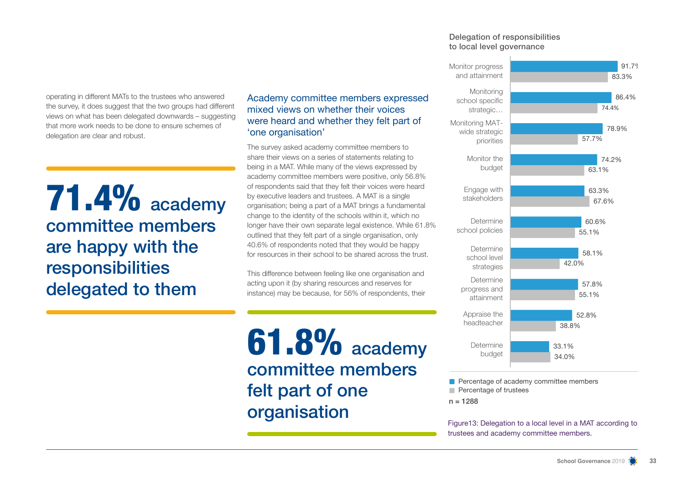#### Delegation of responsibilities to local level governance



**Percentage of academy committee members Percentage of trustees** 

 $n = 1288$ 

Figure13: Delegation to a local level in a MAT according to trustees and academy committee members.

operating in different MATs to the trustees who answered the survey, it does suggest that the two groups had different views on what has been delegated downwards – suggesting that more work needs to be done to ensure schemes of delegation are clear and robust.

**71.4%** academy committee members are happy with the responsibilities delegated to them

Academy committee members expressed mixed views on whether their voices were heard and whether they felt part of 'one organisation'

The survey asked academy committee members to share their views on a series of statements relating to being in a MAT. While many of the views expressed by academy committee members were positive, only 56.8% of respondents said that they felt their voices were heard by executive leaders and trustees. A MAT is a single organisation; being a part of a MAT brings a fundamental change to the identity of the schools within it, which no longer have their own separate legal existence. While 61.8% outlined that they felt part of a single organisation, only 40.6% of respondents noted that they would be happy for resources in their school to be shared across the trust.

This difference between feeling like one organisation and acting upon it (by sharing resources and reserves for instance) may be because, for 56% of respondents, their

**61.8%** academy committee members felt part of one organisation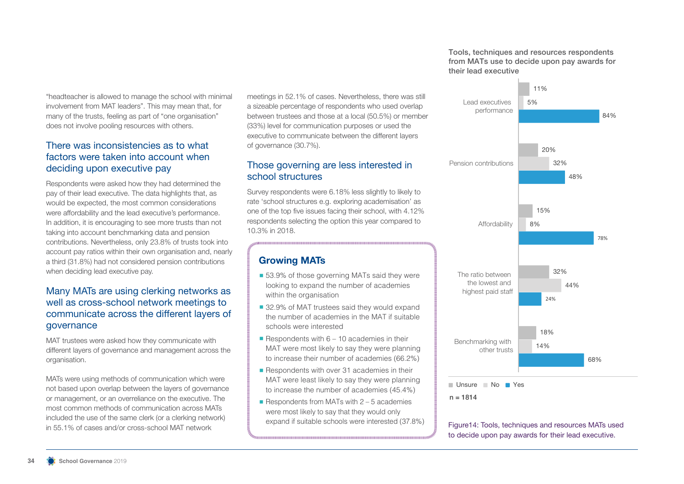Tools, techniques and resources respondents from MATs use to decide upon pay awards for their lead executive



"headteacher is allowed to manage the school with minimal involvement from MAT leaders". This may mean that, for many of the trusts, feeling as part of "one organisation" does not involve pooling resources with others.

### There was inconsistencies as to what factors were taken into account when deciding upon executive pay

Respondents were asked how they had determined the pay of their lead executive. The data highlights that, as would be expected, the most common considerations were affordability and the lead executive's performance. In addition, it is encouraging to see more trusts than not taking into account benchmarking data and pension contributions. Nevertheless, only 23.8% of trusts took into account pay ratios within their own organisation and, nearly a third (31.8%) had not considered pension contributions when deciding lead executive pay.

### Many MATs are using clerking networks as well as cross-school network meetings to communicate across the different layers of governance

MAT trustees were asked how they communicate with different layers of governance and management across the organisation.

MATs were using methods of communication which were not based upon overlap between the layers of governance or management, or an overreliance on the executive. The most common methods of communication across MATs included the use of the same clerk (or a clerking network) in 55.1% of cases and/or cross-school MAT network

meetings in 52.1% of cases. Nevertheless, there was still a sizeable percentage of respondents who used overlap between trustees and those at a local (50.5%) or member (33%) level for communication purposes or used the executive to communicate between the different layers of governance (30.7%).

### Those governing are less interested in school structures

Survey respondents were 6.18% less slightly to likely to rate 'school structures e.g. exploring academisation' as one of the top five issues facing their school, with 4.12% respondents selecting the option this year compared to 10.3% in 2018.

## **Growing MATs**

- 53.9% of those governing MATs said they were looking to expand the number of academies within the organisation
- 32.9% of MAT trustees said they would expand the number of academies in the MAT if suitable schools were interested
- Respondents with  $6 10$  academies in their MAT were most likely to say they were planning to increase their number of academies (66.2%)
- Respondents with over 31 academies in their MAT were least likely to say they were planning to increase the number of academies (45.4%)
- Respondents from MATs with  $2 5$  academies were most likely to say that they would only expand if suitable schools were interested (37.8%)

Figure14: Tools, techniques and resources MATs used to decide upon pay awards for their lead executive.

 $n = 1814$ 

Unsure No Yes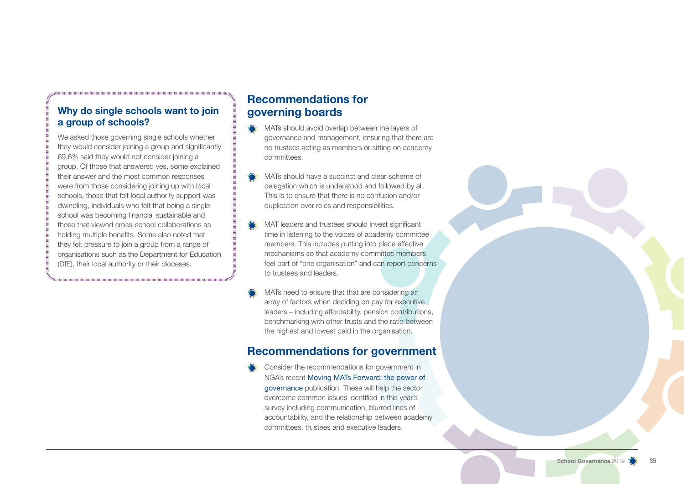## **Why do single schools want to join a group of schools?**

We asked those governing single schools whether they would consider joining a group and significantly 69.6% said they would not consider joining a group. Of those that answered yes, some explained their answer and the most common responses were from those considering joining up with local schools, those that felt local authority support was dwindling, individuals who felt that being a single school was becoming financial sustainable and those that viewed cross-school collaborations as holding multiple benefits. Some also noted that they felt pressure to join a group from a range of organisations such as the Department for Education (DfE), their local authority or their dioceses.

## **Recommendations for governing boards**

- $\sum_{i=1}^{n}$ MATs should avoid overlap between the layers of governance and management, ensuring that there are no trustees acting as members or sitting on academy committees.
- MATs should have a succinct and clear scheme of delegation which is understood and followed by all. This is to ensure that there is no confusion and/or duplication over roles and responsibilities.
- MAT leaders and trustees should invest significant time in listening to the voices of academy committee members. This includes putting into place effective mechanisms so that academy committee members feel part of "one organisation" and can report concerns to trustees and leaders.
- MATs need to ensure that that are considering an array of factors when deciding on pay for executive leaders – including affordability, pension contributions, benchmarking with other trusts and the ratio between the highest and lowest paid in the organisation.

## **Recommendations for government**

Consider the recommendations for government in NGA's recent Moving MATs Forward: the power of governance publication. These will help the sector overcome common issues identified in this year's survey including communication, blurred lines of accountability, and the relationship between academy committees, trustees and executive leaders.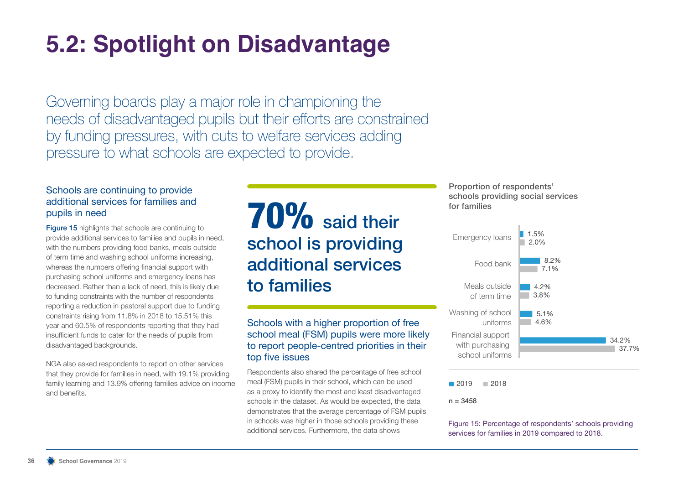## **5.2: Spotlight on Disadvantage**

Governing boards play a major role in championing the needs of disadvantaged pupils but their efforts are constrained by funding pressures, with cuts to welfare services adding pressure to what schools are expected to provide.

### Schools are continuing to provide additional services for families and pupils in need

Figure 15 highlights that schools are continuing to provide additional services to families and pupils in need, with the numbers providing food banks, meals outside of term time and washing school uniforms increasing, whereas the numbers offering financial support with purchasing school uniforms and emergency loans has decreased. Rather than a lack of need, this is likely due to funding constraints with the number of respondents reporting a reduction in pastoral support due to funding constraints rising from 11.8% in 2018 to 15.51% this year and 60.5% of respondents reporting that they had insufficient funds to cater for the needs of pupils from disadvantaged backgrounds.

NGA also asked respondents to report on other services that they provide for families in need, with 19.1% providing family learning and 13.9% offering families advice on income and benefits.

## 70% said their school is providing additional services to families

### Schools with a higher proportion of free school meal (FSM) pupils were more likely to report people-centred priorities in their top five issues

Respondents also shared the percentage of free school meal (FSM) pupils in their school, which can be used as a proxy to identify the most and least disadvantaged schools in the dataset. As would be expected, the data demonstrates that the average percentage of FSM pupils in schools was higher in those schools providing these additional services. Furthermore, the data shows

Proportion of respondents' schools providing social services for families



■ 2019 ■ 2018

 $n = 3458$ 

Figure 15: Percentage of respondents' schools providing services for families in 2019 compared to 2018.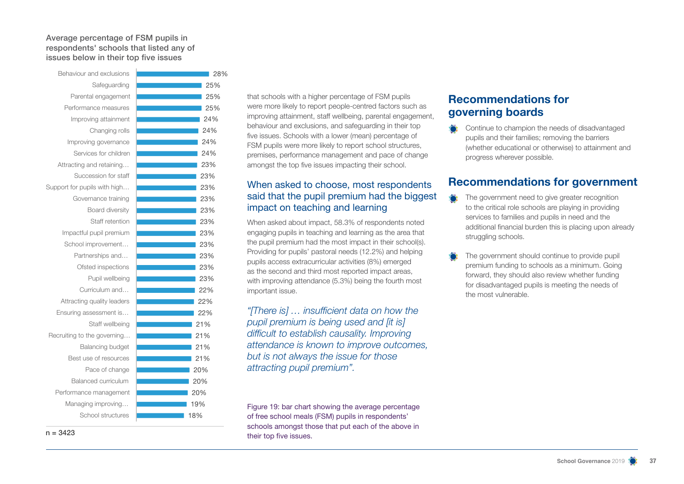#### Average percentage of FSM pupils in respondents' schools that listed any of issues below in their top five issues



that schools with a higher percentage of FSM pupils were more likely to report people-centred factors such as improving attainment, staff wellbeing, parental engagement, behaviour and exclusions, and safeguarding in their top five issues. Schools with a lower (mean) percentage of FSM pupils were more likely to report school structures, premises, performance management and pace of change amongst the top five issues impacting their school.

### When asked to choose, most respondents said that the pupil premium had the biggest impact on teaching and learning

When asked about impact, 58.3% of respondents noted engaging pupils in teaching and learning as the area that the pupil premium had the most impact in their school(s). Providing for pupils' pastoral needs (12.2%) and helping pupils access extracurricular activities (8%) emerged as the second and third most reported impact areas, with improving attendance (5.3%) being the fourth most important issue.

*"[There is] … insufficient data on how the pupil premium is being used and [it is] difficult to establish causality. Improving attendance is known to improve outcomes, but is not always the issue for those attracting pupil premium".* 

Figure 19: bar chart showing the average percentage of free school meals (FSM) pupils in respondents' schools amongst those that put each of the above in their top five issues.

## **Recommendations for governing boards**

Continue to champion the needs of disadvantaged pupils and their families; removing the barriers (whether educational or otherwise) to attainment and progress wherever possible.

## **Recommendations for government**

- The government need to give greater recognition to the critical role schools are playing in providing services to families and pupils in need and the additional financial burden this is placing upon already struggling schools.
- The government should continue to provide pupil premium funding to schools as a minimum. Going forward, they should also review whether funding for disadvantaged pupils is meeting the needs of the most vulnerable.

 $n = 3423$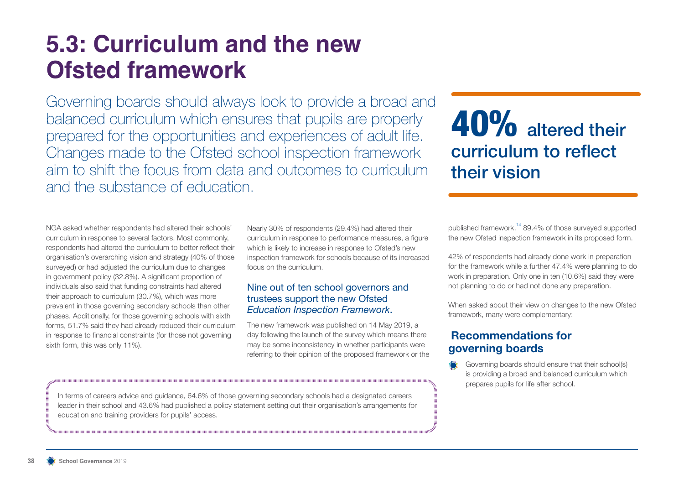## **5.3: Curriculum and the new Ofsted framework**

Governing boards should always look to provide a broad and balanced curriculum which ensures that pupils are properly prepared for the opportunities and experiences of adult life. Changes made to the Ofsted school inspection framework aim to shift the focus from data and outcomes to curriculum and the substance of education.

## 40% altered their curriculum to reflect their vision

NGA asked whether respondents had altered their schools' curriculum in response to several factors. Most commonly, respondents had altered the curriculum to better reflect their organisation's overarching vision and strategy (40% of those surveyed) or had adjusted the curriculum due to changes in government policy (32.8%). A significant proportion of individuals also said that funding constraints had altered their approach to curriculum (30.7%), which was more prevalent in those governing secondary schools than other phases. Additionally, for those governing schools with sixth forms, 51.7% said they had already reduced their curriculum in response to financial constraints (for those not governing sixth form, this was only 11%).

Nearly 30% of respondents (29.4%) had altered their curriculum in response to performance measures, a figure which is likely to increase in response to Ofsted's new inspection framework for schools because of its increased focus on the curriculum.

### Nine out of ten school governors and trustees support the new Ofsted *Education Inspection Framework*.

The new framework was published on 14 May 2019, a day following the launch of the survey which means there may be some inconsistency in whether participants were referring to their opinion of the proposed framework or the published framework.<sup>14</sup> 89.4% of those surveyed supported the new Ofsted inspection framework in its proposed form.

42% of respondents had already done work in preparation for the framework while a further 47.4% were planning to do work in preparation. Only one in ten (10.6%) said they were not planning to do or had not done any preparation.

When asked about their view on changes to the new Ofsted framework, many were complementary:

## **Recommendations for governing boards**

Governing boards should ensure that their school(s) is providing a broad and balanced curriculum which prepares pupils for life after school.

In terms of careers advice and guidance, 64.6% of those governing secondary schools had a designated careers leader in their school and 43.6% had published a policy statement setting out their organisation's arrangements for education and training providers for pupils' access.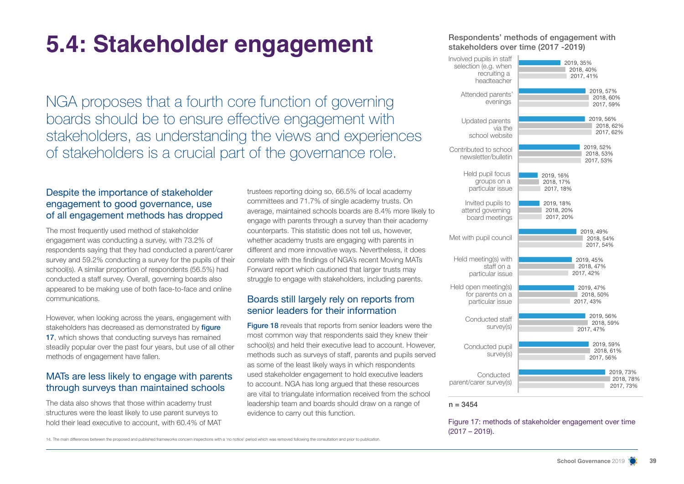## **5.4: Stakeholder engagement**

NGA proposes that a fourth core function of governing boards should be to ensure effective engagement with stakeholders, as understanding the views and experiences of stakeholders is a crucial part of the governance role.

### Despite the importance of stakeholder engagement to good governance, use of all engagement methods has dropped

The most frequently used method of stakeholder engagement was conducting a survey, with 73.2% of respondents saying that they had conducted a parent/carer survey and 59.2% conducting a survey for the pupils of their school(s). A similar proportion of respondents (56.5%) had conducted a staff survey. Overall, governing boards also appeared to be making use of both face-to-face and online communications.

However, when looking across the years, engagement with stakeholders has decreased as demonstrated by figure 17, which shows that conducting surveys has remained steadily popular over the past four years, but use of all other methods of engagement have fallen.

### MATs are less likely to engage with parents through surveys than maintained schools

The data also shows that those within academy trust structures were the least likely to use parent surveys to hold their lead executive to account, with 60.4% of MAT trustees reporting doing so, 66.5% of local academy committees and 71.7% of single academy trusts. On average, maintained schools boards are 8.4% more likely to engage with parents through a survey than their academy counterparts. This statistic does not tell us, however, whether academy trusts are engaging with parents in different and more innovative ways. Nevertheless, it does correlate with the findings of NGA's recent Moving MATs Forward report which cautioned that larger trusts may struggle to engage with stakeholders, including parents.

### Boards still largely rely on reports from senior leaders for their information

**Figure 18** reveals that reports from senior leaders were the most common way that respondents said they knew their school(s) and held their executive lead to account. However, methods such as surveys of staff, parents and pupils served as some of the least likely ways in which respondents used stakeholder engagement to hold executive leaders to account. NGA has long argued that these resources are vital to triangulate information received from the school leadership team and boards should draw on a range of evidence to carry out this function.

#### Respondents' methods of engagement with stakeholders over time (2017 -2019)



#### $n = 3454$

Figure 17: methods of stakeholder engagement over time (2017 – 2019).

14. The main differences between the proposed and published frameworks concern inspections with a 'no notice' period which was removed following the consultation and prior to publication.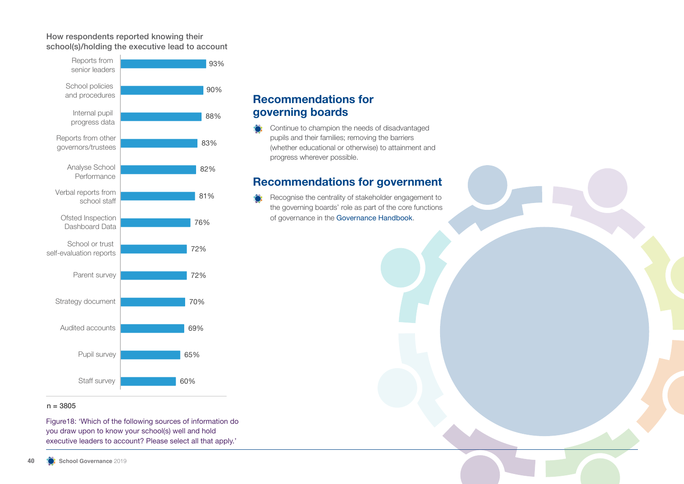### How respondents reported knowing their school(s)/holding the executive lead to account



## **Recommendations for governing boards**

Continue to champion the needs of disadvantaged pupils and their families; removing the barriers (whether educational or otherwise) to attainment and progress wherever possible.

## **Recommendations for government**

Recognise the centrality of stakeholder engagement to the governing boards' role as part of the core functions of governance in the Governance Handbook.

### $n = 3805$

Figure18: 'Which of the following sources of information do you draw upon to know your school(s) well and hold executive leaders to account? Please select all that apply.'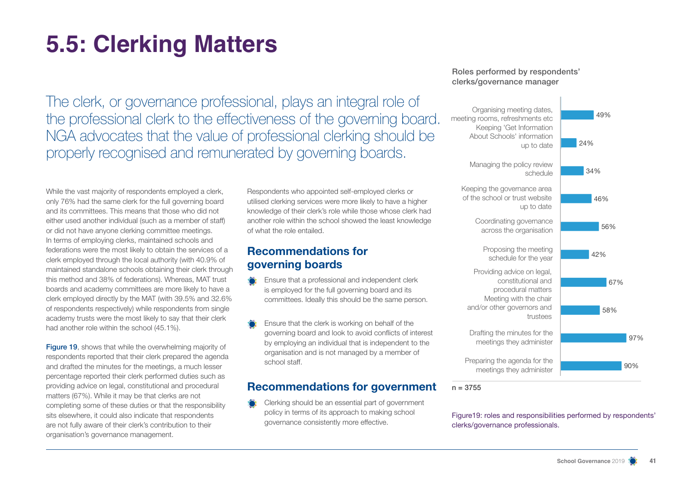## **5.5: Clerking Matters**

The clerk, or governance professional, plays an integral role of the professional clerk to the effectiveness of the governing board. NGA advocates that the value of professional clerking should be properly recognised and remunerated by governing boards.

While the vast majority of respondents employed a clerk, only 76% had the same clerk for the full governing board and its committees. This means that those who did not either used another individual (such as a member of staff) or did not have anyone clerking committee meetings. In terms of employing clerks, maintained schools and federations were the most likely to obtain the services of a clerk employed through the local authority (with 40.9% of maintained standalone schools obtaining their clerk through this method and 38% of federations). Whereas, MAT trust boards and academy committees are more likely to have a clerk employed directly by the MAT (with 39.5% and 32.6% of respondents respectively) while respondents from single academy trusts were the most likely to say that their clerk had another role within the school (45.1%).

**Figure 19.** shows that while the overwhelming majority of respondents reported that their clerk prepared the agenda and drafted the minutes for the meetings, a much lesser percentage reported their clerk performed duties such as providing advice on legal, constitutional and procedural matters (67%). While it may be that clerks are not completing some of these duties or that the responsibility sits elsewhere, it could also indicate that respondents are not fully aware of their clerk's contribution to their organisation's governance management.

Respondents who appointed self-employed clerks or utilised clerking services were more likely to have a higher knowledge of their clerk's role while those whose clerk had another role within the school showed the least knowledge of what the role entailed.

## **Recommendations for governing boards**

- Ensure that a professional and independent clerk is employed for the full governing board and its committees. Ideally this should be the same person.
- Ensure that the clerk is working on behalf of the governing board and look to avoid conflicts of interest by employing an individual that is independent to the organisation and is not managed by a member of school staff.

## **Recommendations for government**

Clerking should be an essential part of government policy in terms of its approach to making school governance consistently more effective.

### Roles performed by respondents' clerks/governance manager



Figure19: roles and responsibilities performed by respondents' clerks/governance professionals.

 $n = 3755$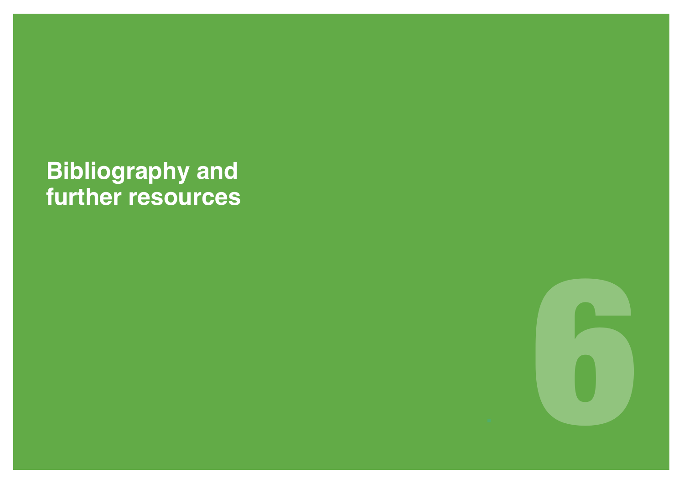## **Bibliography and further resources**

§ 6